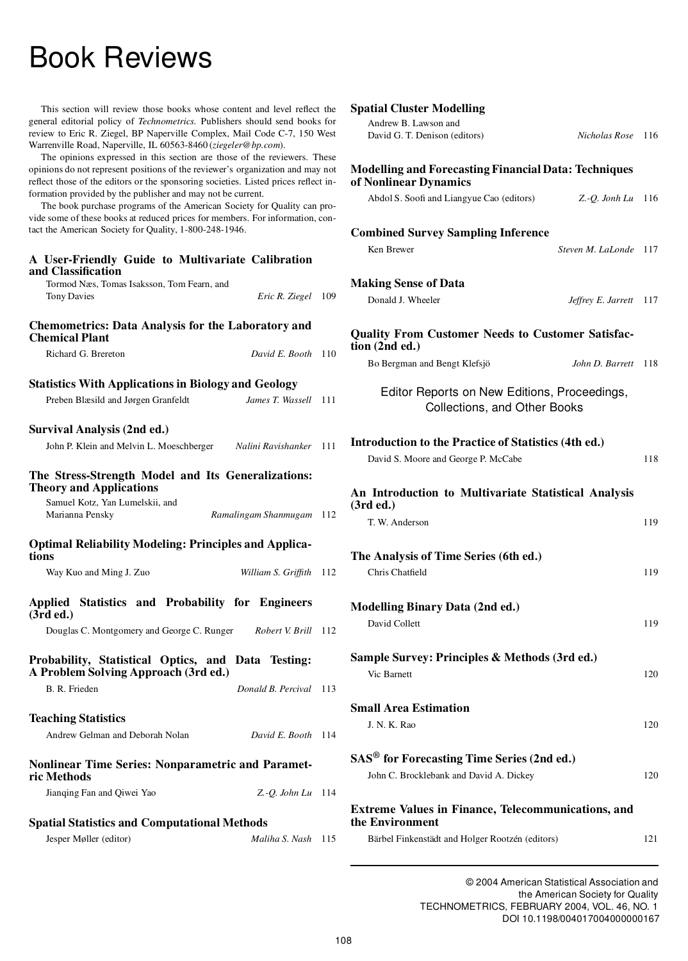# Book Reviews

This section will review those books whose content and level reflect the general editorial policy of *Technometrics.* Publishers should send books for review to Eric R. Ziegel, BP Naperville Complex, Mail Code C-7, 150 West Warrenville Road, Naperville, IL 60563-8460 (*ziegeler@bp.com*).

The opinions expressed in this section are those of the reviewers. These opinions do not represent positions of the reviewer's organization and may not reflect those of the editors or the sponsoring societies. Listed prices reflect information provided by the publisher and may not be current.

The book purchase programs of the American Society for Quality can provide some of these books at reduced prices for members. For information, contact the American Society for Quality, 1-800-248-1946.

| A User-Friendly Guide to Multivariate Calibration<br>and Classification                    |     |                                                  |
|--------------------------------------------------------------------------------------------|-----|--------------------------------------------------|
| Tormod Næs, Tomas Isaksson, Tom Fearn, and                                                 |     | <b>Making Sense</b>                              |
| Eric R. Ziegel<br><b>Tony Davies</b>                                                       | 109 | Donald J. Wh                                     |
| <b>Chemometrics: Data Analysis for the Laboratory and</b><br><b>Chemical Plant</b>         |     | <b>Quality From</b><br>$\mathbf{tion}$ (2nd ed.) |
| Richard G. Brereton<br>David E. Booth                                                      | 110 | Bo Bergman a                                     |
| <b>Statistics With Applications in Biology and Geology</b>                                 |     |                                                  |
| Preben Blæsild and Jørgen Granfeldt<br>James T. Wassell                                    | 111 | Editor F                                         |
| Survival Analysis (2nd ed.)                                                                |     |                                                  |
| John P. Klein and Melvin L. Moeschberger<br>Nalini Ravishanker                             | 111 | <b>Introduction</b><br>David S. Moo              |
| The Stress-Strength Model and Its Generalizations:                                         |     |                                                  |
| <b>Theory and Applications</b>                                                             |     | An Introduct                                     |
| Samuel Kotz, Yan Lumelskii, and<br>Marianna Pensky<br>Ramalingam Shanmugam                 | 112 | (3rd ed.)                                        |
|                                                                                            |     | T. W. Andersc                                    |
| <b>Optimal Reliability Modeling: Principles and Applica-</b><br>tions                      |     | <b>The Analysis</b>                              |
| Way Kuo and Ming J. Zuo<br>William S. Griffith                                             | 112 | Chris Chatfiel                                   |
| Applied Statistics and Probability for<br><b>Engineers</b><br>(3rd ed.)                    |     | <b>Modelling Bin</b>                             |
| Douglas C. Montgomery and George C. Runger<br>Robert V. Brill                              | 112 | David Collett                                    |
| Probability, Statistical Optics, and Data Testing:<br>A Problem Solving Approach (3rd ed.) |     | Sample Surve<br>Vic Barnett                      |
| B. R. Frieden<br>Donald B. Percival                                                        | 113 |                                                  |
| <b>Teaching Statistics</b>                                                                 |     | <b>Small Area Es</b>                             |
| Andrew Gelman and Deborah Nolan<br>David E. Booth                                          | 114 | J. N. K. Rao                                     |
|                                                                                            |     |                                                  |
| <b>Nonlinear Time Series: Nonparametric and Paramet-</b><br>ric Methods                    |     | $SAS^{\circledR}$ for Fore<br>John C. Brock      |
| Jianqing Fan and Qiwei Yao<br>$Z.-O.$ John Lu                                              | 114 |                                                  |
| <b>Spatial Statistics and Computational Methods</b>                                        |     | <b>Extreme Valu</b><br>the Environm              |
| Jesper Møller (editor)<br>Maliha S. Nash                                                   | 115 | Bärbel Finken                                    |

# **Spatial Cluster Modelling**

| Andrew B. Lawson and                                                                 |                     |     |
|--------------------------------------------------------------------------------------|---------------------|-----|
| David G. T. Denison (editors)                                                        | Nicholas Rose 116   |     |
| <b>Modelling and Forecasting Financial Data: Techniques</b><br>of Nonlinear Dynamics |                     |     |
| Abdol S. Soofi and Liangyue Cao (editors)                                            | Z.-Q. Jonh Lu       | 116 |
| <b>Combined Survey Sampling Inference</b>                                            |                     |     |
| Ken Brewer                                                                           | Steven M. LaLonde   | 117 |
| <b>Making Sense of Data</b>                                                          |                     |     |
| Donald J. Wheeler                                                                    | Jeffrey E. Jarrett  | 117 |
| <b>Quality From Customer Needs to Customer Satisfac-</b><br>tion (2nd ed.)           |                     |     |
| Bo Bergman and Bengt Klefsjö                                                         | John D. Barrett 118 |     |
| Editor Reports on New Editions, Proceedings,<br>Collections, and Other Books         |                     |     |
| Introduction to the Practice of Statistics (4th ed.)                                 |                     |     |
| David S. Moore and George P. McCabe                                                  |                     | 118 |
| An Introduction to Multivariate Statistical Analysis<br>(3rd ed.)                    |                     |     |
| T. W. Anderson                                                                       |                     | 119 |
| The Analysis of Time Series (6th ed.)<br>Chris Chatfield                             |                     | 119 |
| <b>Modelling Binary Data (2nd ed.)</b>                                               |                     |     |
| David Collett                                                                        |                     | 119 |
| Sample Survey: Principles & Methods (3rd ed.)<br>Vic Barnett                         |                     | 120 |
| <b>Small Area Estimation</b>                                                         |                     |     |
| J. N. K. Rao                                                                         |                     | 120 |
| SAS <sup>®</sup> for Forecasting Time Series (2nd ed.)                               |                     |     |
| John C. Brocklebank and David A. Dickey                                              |                     | 120 |
| <b>Extreme Values in Finance, Telecommunications, and</b><br>the Environment         |                     |     |
| Bärbel Finkenstädt and Holger Rootzén (editors)                                      |                     | 121 |

© 2004 American Statistical Association and the American Society for Quality TECHNOMETRICS, FEBRUARY 2004, VOL. 46, NO. 1 DOI 10.1198/004017004000000167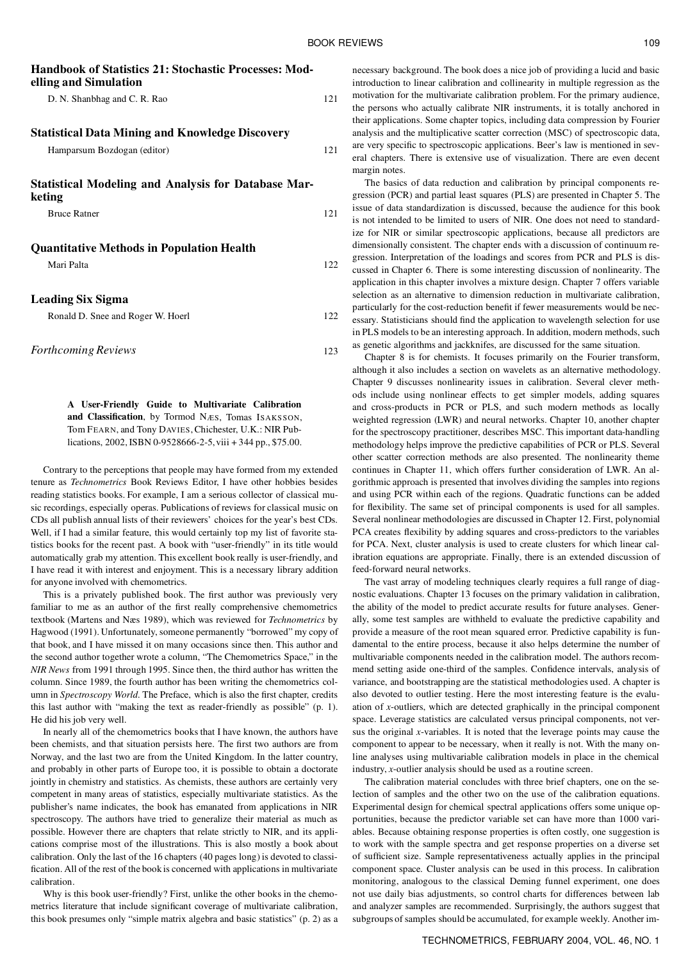# **Handbook of Statistics 21: Stochastic Processes: Modelling and Simulation**

| D. N. Shanbhag and C. R. Rao |  |
|------------------------------|--|
|------------------------------|--|

# **Statistical Data Mining and Knowledge Discovery**

| Hamparsum Bozdogan (editor)                         | 121 |  |
|-----------------------------------------------------|-----|--|
|                                                     |     |  |
| Statistical Modeling and Analysis for Database Mar- |     |  |
| keting                                              |     |  |

| <b>Bruce Ratner</b> | 121<br>141 |
|---------------------|------------|
|                     |            |

#### **Quantitative Methods in Population Health**

| Mari Palta                        | 122 |
|-----------------------------------|-----|
| Leading Six Sigma                 |     |
| Ronald D. Snee and Roger W. Hoerl | 122 |
| Forthcoming Reviews               | 123 |

**A User-Friendly Guide to Multivariate Calibration** and **Classification**, by Tormod NÆS, Tomas ISAKSSON, Tom FEARN, and Tony DAVIES,Chichester, U.K.: NIR Publications, 2002, ISBN 0-9528666-2-5,viii + 344 pp., \$75.00.

Contrary to the perceptions that people may have formed from my extended tenure as *Technometrics* Book Reviews Editor, I have other hobbies besides reading statistics books. For example, I am a serious collector of classical music recordings, especially operas. Publications of reviews for classical music on CDs all publish annual lists of their reviewers' choices for the year's best CDs. Well, if I had a similar feature, this would certainly top my list of favorite statistics books for the recent past. A book with "user-friendly" in its title would automatically grab my attention. This excellent book really is user-friendly, and I have read it with interest and enjoyment. This is a necessary library addition for anyone involved with chemometrics.

This is a privately published book. The first author was previously very familiar to me as an author of the first really comprehensive chemometrics textbook (Martens and Næs 1989), which was reviewed for *Technometrics* by Hagwood (1991). Unfortunately, someone permanently "borrowed" my copy of that book, and I have missed it on many occasions since then. This author and the second author together wrote a column, "The Chemometrics Space," in the *NIR News* from 1991 through 1995. Since then, the third author has written the column. Since 1989, the fourth author has been writing the chemometrics col umn in *Spectroscopy World*. The Preface, which is also the first chapter, credits this last author with "making the text as reader-friendly as possible" (p. 1). He did his job very well.

In nearly all of the chemometrics books that I have known, the authors have been chemists, and that situation persists here. The first two authors are from Norway, and the last two are from the United Kingdom. In the latter country, and probably in other parts of Europe too, it is possible to obtain a doctorate jointly in chemistry and statistics. As chemists, these authors are certainly very competent in many areas of statistics, especially multivariate statistics. As the publisher's name indicates, the book has emanated from applications in NIR spectroscopy. The authors have tried to generalize their material as much as possible. However there are chapters that relate strictly to NIR, and its applications comprise most of the illustrations. This is also mostly a book about calibration. Only the last of the 16 chapters (40 pages long) is devoted to classi fication. All of the rest of the book is concerned with applications in multivariate calibration.

Why is this book user-friendly? First, unlike the other books in the chemometrics literature that include significant coverage of multivariate calibration, this book presumes only "simple matrix algebra and basic statistics" (p. 2) as a necessary background. The book does a nice job of providing a lucid and basic introduction to linear calibration and collinearity in multiple regression as the motivation for the multivariate calibration problem. For the primary audience, the persons who actually calibrate NIR instruments, it is totally anchored in their applications. Some chapter topics, including data compression by Fourier analysis and the multiplicative scatter correction (MSC) of spectroscopic data, are very specific to spectroscopic applications. Beer's law is mentioned in several chapters. There is extensive use of visualization. There are even decent margin notes.

The basics of data reduction and calibration by principal components re gression (PCR) and partial least squares (PLS) are presented in Chapter 5. The issue of data standardization is discussed, because the audience for this book is not intended to be limited to users of NIR. One does not need to standardize for NIR or similar spectroscopic applications, because all predictors are dimensionally consistent. The chapter ends with a discussion of continuum re gression. Interpretation of the loadings and scores from PCR and PLS is discussed in Chapter 6. There is some interesting discussion of nonlinearity. The application in this chapter involves a mixture design. Chapter 7 offers variable selection as an alternative to dimension reduction in multivariate calibration, particularly for the cost-reduction benefit if fewer measurements would be necessary. Statisticians should find the application to wavelength selection for use in PLS models to be an interesting approach. In addition, modern methods, such as genetic algorithms and jackknifes, are discussed for the same situation.

Chapter 8 is for chemists. It focuses primarily on the Fourier transform, although it also includes a section on wavelets as an alternative methodology. Chapter 9 discusses nonlinearity issues in calibration. Several clever methods include using nonlinear effects to get simpler models, adding squares and cross-products in PCR or PLS, and such modern methods as locally weighted regression (LWR) and neural networks. Chapter 10, another chapter for the spectroscopy practitioner, describes MSC. This important data-handling methodology helps improve the predictive capabilities of PCR or PLS. Several other scatter correction methods are also presented. The nonlinearity theme continues in Chapter 11, which offers further consideration of LWR. An algorithmic approach is presented that involves dividing the samples into regions and using PCR within each of the regions. Quadratic functions can be added for flexibility. The same set of principal components is used for all samples. Several nonlinear methodologies are discussed in Chapter 12. First, polynomial PCA creates flexibility by adding squares and cross-predictors to the variables for PCA. Next, cluster analysis is used to create clusters for which linear calibration equations are appropriate. Finally, there is an extended discussion of feed-forward neural networks.

The vast array of modeling techniques clearly requires a full range of diagnostic evaluations. Chapter 13 focuses on the primary validation in calibration, the ability of the model to predict accurate results for future analyses. Generally, some test samples are withheld to evaluate the predictive capability and provide a measure of the root mean squared error. Predictive capability is fundamental to the entire process, because it also helps determine the number of multivariable components needed in the calibration model. The authors recom mend setting aside one-third of the samples. Confidence intervals, analysis of variance, and bootstrapping are the statistical methodologies used. A chapter is also devoted to outlier testing. Here the most interesting feature is the evaluation of *x*-outliers, which are detected graphically in the principal component space. Leverage statistics are calculated versus principal components, not versus the original *x*-variables. It is noted that the leverage points may cause the component to appear to be necessary, when it really is not. With the many online analyses using multivariable calibration models in place in the chemical industry, *x*-outlier analysis should be used as a routine screen.

The calibration material concludes with three brief chapters, one on the selection of samples and the other two on the use of the calibration equations. Experimental design for chemical spectral applications offers some unique opportunities, because the predictor variable set can have more than 1000 variables. Because obtaining response properties is often costly, one suggestion is to work with the sample spectra and get response properties on a diverse set of sufficient size. Sample representativeness actually applies in the principal component space. Cluster analysis can be used in this process. In calibration monitoring, analogous to the classical Deming funnel experiment, one does not use daily bias adjustments, so control charts for differences between lab and analyzer samples are recommended. Surprisingly, the authors suggest that subgroups of samples should be accumulated, for example weekly. Another im-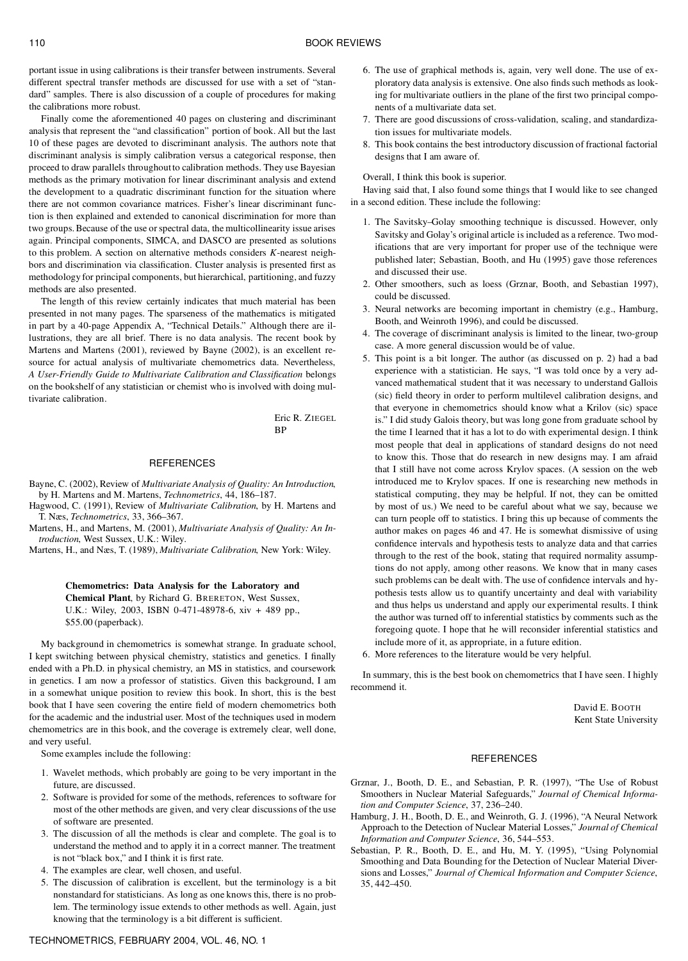portant issue in using calibrations is their transfer between instruments. Several different spectral transfer methods are discussed for use with a set of "standard" samples. There is also discussion of a couple of procedures for making the calibrations more robust.

Finally come the aforementioned 40 pages on clustering and discriminant analysis that represent the "and classification" portion of book. All but the last 10 of these pages are devoted to discriminant analysis. The authors note that discriminant analysis is simply calibration versus a categorical response, then proceed to draw parallels throughoutto calibration methods. They use Bayesian methods as the primary motivation for linear discriminant analysis and extend the development to a quadratic discriminant function for the situation where there are not common covariance matrices. Fisher's linear discriminant function is then explained and extended to canonical discrimination for more than two groups.Because of the use orspectral data, the multicollinearity issue arises again. Principal components, SIMCA, and DASCO are presented as solutions to this problem. A section on alternative methods considers *K*-nearest neighbors and discrimination via classification. Cluster analysis is presented first as methodology for principal components, but hierarchical, partitioning, and fuzzy methods are also presented.

The length of this review certainly indicates that much material has been presented in not many pages. The sparseness of the mathematics is mitigated in part by a 40-page Appendix A, "Technical Details." Although there are illustrations, they are all brief. There is no data analysis. The recent book by Martens and Martens (2001), reviewed by Bayne (2002), is an excellent resource for actual analysis of multivariate chemometrics data. Nevertheless, *A User-Friendly Guide to Multivariate Calibration and Classi cation* belongs on the bookshelf of any statistician or chemist who is involved with doing multivariate calibration.

> Eric R. ZIEGEL BP

#### REFERENCES

- Bayne, C. (2002), Review of *Multivariate Analysis of Quality: An Introduction*, by H. Martens and M. Martens, *Technometrics*, 44, 186–187.
- Hagwood, C. (1991), Review of*Multivariate Calibration*, by H. Martens and T. Næs, *Technometrics*, 33, 366–367.

Martens, H., and Martens, M. (2001), *Multivariate Analysis of Quality: An Introduction*, West Sussex, U.K.: Wiley.

Martens, H., and Næs, T. (1989), *Multivariate Calibration*, New York: Wiley.

**Chemometrics: Data Analysis for the Laboratory and Chemical Plant**, by Richard G. BRERETON, West Sussex, U.K.: Wiley, 2003, ISBN 0-471-48978-6, xiv + 489 pp., \$55.00 (paperback).

My background in chemometrics is somewhat strange. In graduate school, I kept switching between physical chemistry, statistics and genetics. I finally ended with a Ph.D. in physical chemistry, an MS in statistics, and coursework in genetics. I am now a professor of statistics. Given this background, I am in a somewhat unique position to review this book. In short, this is the best book that I have seen covering the entire field of modern chemometrics both for the academic and the industrial user. Most of the techniques used in modern chemometrics are in this book, and the coverage is extremely clear, well done, and very useful.

Some examples include the following:

- 1. Wavelet methods, which probably are going to be very important in the future, are discussed.
- 2. Software is provided for some of the methods, references to software for most of the other methods are given, and very clear discussions of the use of software are presented.
- 3. The discussion of all the methods is clear and complete. The goal is to understand the method and to apply it in a correct manner. The treatment is not "black box," and I think it is first rate.
- 4. The examples are clear, well chosen, and useful.
- 5. The discussion of calibration is excellent, but the terminology is a bit nonstandard for statisticians. As long as one knows this, there is no problem. The terminology issue extends to other methods as well. Again, just knowing that the terminology is a bit different is sufficient.
- TECHNOMETRICS, FEBRUARY 2004, VOL. 46, NO. 1
- 6. The use of graphical methods is, again, very well done. The use of ex ploratory data analysis is extensive. One also finds such methods as looking for multivariate outliers in the plane of the first two principal components of a multivariate data set.
- 7. There are good discussions of cross-validation, scaling, and standardization issues for multivariate models.
- 8. This book contains the best introductory discussion of fractional factorial designs that I am aware of.

Overall, I think this book is superior.

Having said that, I also found some things that I would like to see changed in a second edition. These include the following:

- 1. The Savitsky–Golay smoothing technique is discussed. However, only Savitsky and Golay's original article is included as a reference. Two modifications that are very important for proper use of the technique were published later; Sebastian, Booth, and Hu (1995) gave those references and discussed their use.
- 2. Other smoothers, such as loess (Grznar, Booth, and Sebastian 1997), could be discussed.
- 3. Neural networks are becoming important in chemistry (e.g., Hamburg, Booth, and Weinroth 1996), and could be discussed.
- 4. The coverage of discriminant analysis is limited to the linear, two-group case. A more general discussion would be of value.
- 5. This point is a bit longer. The author (as discussed on p. 2) had a bad experience with a statistician. He says, "I was told once by a very advanced mathematical student that it was necessary to understand Gallois (sic) field theory in order to perform multilevel calibration designs, and that everyone in chemometrics should know what a Krilov (sic) space is." I did study Galois theory, but was long gone from graduate school by the time I learned that it has a lot to do with experimental design. I think most people that deal in applications of standard designs do not need to know this. Those that do research in new designs may. I am afraid that I still have not come across Krylov spaces. (A session on the web introduced me to Krylov spaces. If one is researching new methods in statistical computing, they may be helpful. If not, they can be omitted by most of us.) We need to be careful about what we say, because we can turn people off to statistics. I bring this up because of comments the author makes on pages 46 and 47. He is somewhat dismissive of using confidence intervals and hypothesis tests to analyze data and that carries through to the rest of the book, stating that required normality assumptions do not apply, among other reasons. We know that in many cases such problems can be dealt with. The use of confidence intervals and hypothesis tests allow us to quantify uncertainty and deal with variability and thus helps us understand and apply our experimental results. I think the author was turned off to inferential statistics by comments such as the foregoing quote. I hope that he will reconsider inferential statistics and include more of it, as appropriate, in a future edition.
- 6. More references to the literature would be very helpful.

In summary, this is the best book on chemometrics that I have seen. I highly recommend it.

> David E. BOOTH Kent State University

# REFERENCES

- Grznar, J., Booth, D. E., and Sebastian, P. R. (1997), "The Use of Robust Smoothers in Nuclear Material Safeguards," *Journal of Chemical Information and Computer Science*, 37, 236–240.
- Hamburg, J. H., Booth, D. E., and Weinroth, G. J. (1996), "A Neural Network Approach to the Detection of Nuclear Material Losses," *Journal of Chemical Information and Computer Science*, 36, 544–553.
- Sebastian, P. R., Booth, D. E., and Hu, M. Y. (1995), "Using Polynomial Smoothing and Data Bounding for the Detection of Nuclear Material Diversions and Losses," *Journal of Chemical Information and Computer Science*, 35, 442–450.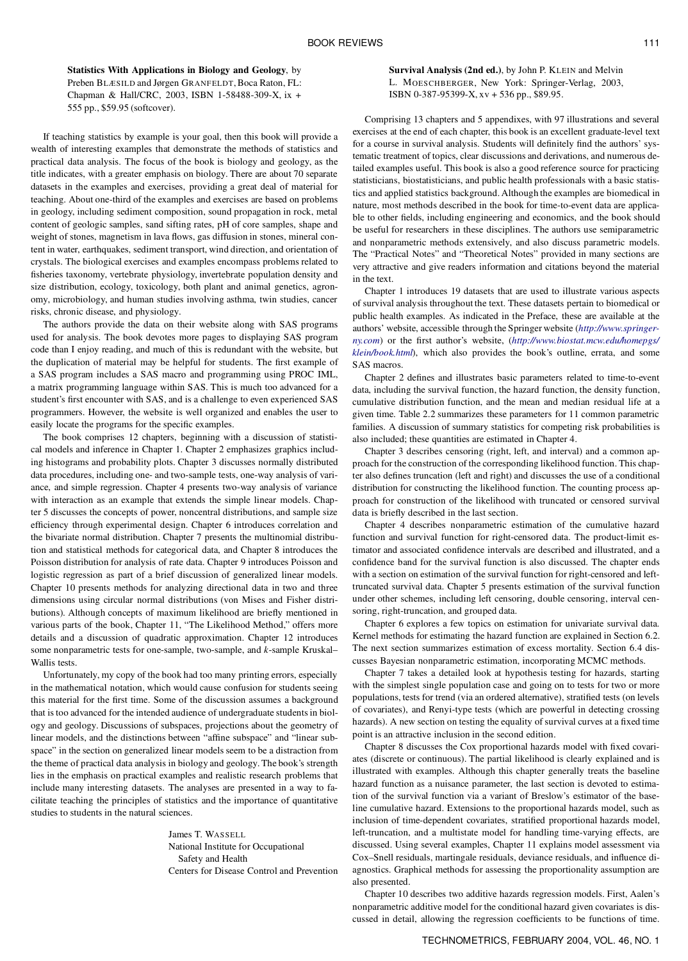**Statistics With Applications in Biology and Geology**, by Preben BLÆSILD and Jørgen GRANFELDT, Boca Raton, FL: Chapman & Hall/CRC, 2003, ISBN 1-58488-309-X, ix + 555 pp., \$59.95 (softcover).

If teaching statistics by example is your goal, then this book will provide a wealth of interesting examples that demonstrate the methods of statistics and practical data analysis. The focus of the book is biology and geology, as the title indicates, with a greater emphasis on biology. There are about 70 separate datasets in the examples and exercises, providing a great deal of material for teaching. About one-third of the examples and exercises are based on problems in geology, including sediment composition, sound propagation in rock, metal content of geologic samples, sand sifting rates, pH of core samples, shape and weight of stones, magnetism in lava flows, gas diffusion in stones, mineral content in water, earthquakes, sediment transport, wind direction, and orientation of crystals. The biological exercises and examples encompass problems related to fisheries taxonomy, vertebrate physiology, invertebrate population density and size distribution, ecology, toxicology, both plant and animal genetics, agronomy, microbiology, and human studies involving asthma, twin studies, cancer risks, chronic disease, and physiology.

The authors provide the data on their website along with SAS programs used for analysis. The book devotes more pages to displaying SAS program code than I enjoy reading, and much of this is redundant with the website, but the duplication of material may be helpful for students. The first example of a SAS program includes a SAS macro and programming using PROC IML, a matrix programming language within SAS. This is much too advanced for a student's first encounter with SAS, and is a challenge to even experienced SAS programmers. However, the website is well organized and enables the user to easily locate the programs for the specific examples.

The book comprises 12 chapters, beginning with a discussion of statistical models and inference in Chapter 1. Chapter 2 emphasizes graphics including histograms and probability plots. Chapter 3 discusses normally distributed data procedures, including one- and two-sample tests, one-way analysis of variance, and simple regression. Chapter 4 presents two-way analysis of variance with interaction as an example that extends the simple linear models. Chapter 5 discusses the concepts of power, noncentral distributions, and sample size efficiency through experimental design. Chapter 6 introduces correlation and the bivariate normal distribution. Chapter 7 presents the multinomial distribution and statistical methods for categorical data, and Chapter 8 introduces the Poisson distribution for analysis of rate data. Chapter 9 introduces Poisson and logistic regression as part of a brief discussion of generalized linear models. Chapter 10 presents methods for analyzing directional data in two and three dimensions using circular normal distributions (von Mises and Fisher distributions). Although concepts of maximum likelihood are briefly mentioned in various parts of the book, Chapter 11, "The Likelihood Method," offers more details and a discussion of quadratic approximation. Chapter 12 introduces some nonparametric tests for one-sample, two-sample, and *k*-sample Kruskal– Wallis tests.

Unfortunately, my copy of the book had too many printing errors, especially in the mathematical notation, which would cause confusion for students seeing this material for the first time. Some of the discussion assumes a background that is too advanced for the intended audience of undergraduate students in biology and geology. Discussions of subspaces, projections about the geometry of linear models, and the distinctions between "affine subspace" and "linear subspace" in the section on generalized linear models seem to be a distraction from the theme of practical data analysis in biology and geology. The book's strength lies in the emphasis on practical examples and realistic research problems that include many interesting datasets. The analyses are presented in a way to facilitate teaching the principles of statistics and the importance of quantitative studies to students in the natural sciences.

> James T. WASSELL National Institute for Occupational Safety and Health Centers for Disease Control and Prevention

**Survival Analysis (2nd ed.)**, by John P. KLEIN and Melvin L. MOESCHBERGER, New York: Springer-Verlag, 2003, ISBN 0-387-95399-X, xv + 536 pp., \$89.95.

Comprising 13 chapters and 5 appendixes, with 97 illustrations and several exercises at the end of each chapter, this book is an excellent graduate-level text for a course in survival analysis. Students will definitely find the authors' systematic treatment of topics, clear discussions and derivations, and numerous detailed examples useful. This book is also a good reference source for practicing statisticians, biostatisticians, and public health professionals with a basic statistics and applied statistics background. Although the examples are biomedical in nature, most methods described in the book for time-to-event data are applicable to other fields, including engineering and economics, and the book should be useful for researchers in these disciplines. The authors use semiparametric and nonparametric methods extensively, and also discuss parametric models. The "Practical Notes" and "Theoretical Notes" provided in many sections are very attractive and give readers information and citations beyond the material in the text.

Chapter 1 introduces 19 datasets that are used to illustrate various aspects of survival analysis throughout the text. These datasets pertain to biomedical or public health examples. As indicated in the Preface, these are available at the authors' website, accessible through the Springer website (*[http://www.springer](http://www.springerny.com)* $ny.com)$  $ny.com)$  or the first author's website, ([http://www.biostat.mcw.edu/homepgs/](http://www.biostat.mcw.edu/homepgs/klein/book.html) *[klein/book.htm](http://www.biostat.mcw.edu/homepgs/klein/book.html)l*), which also provides the book's outline, errata, and some SAS macros.

Chapter 2 defines and illustrates basic parameters related to time-to-event data, including the survival function, the hazard function, the density function, cumulative distribution function, and the mean and median residual life at a given time. Table 2.2 summarizes these parameters for 11 common parametric families. A discussion of summary statistics for competing risk probabilities is also included; these quantities are estimated in Chapter 4.

Chapter 3 describes censoring (right, left, and interval) and a common approach for the construction of the corresponding likelihood function. This chapter also defines truncation (left and right) and discusses the use of a conditional distribution for constructing the likelihood function. The counting process approach for construction of the likelihood with truncated or censored survival data is briefly described in the last section.

Chapter 4 describes nonparametric estimation of the cumulative hazard function and survival function for right-censored data. The product-limit estimator and associated confidence intervals are described and illustrated, and a confidence band for the survival function is also discussed. The chapter ends with a section on estimation of the survival function for right-censored and lefttruncated survival data. Chapter 5 presents estimation of the survival function under other schemes, including left censoring, double censoring, interval censoring, right-truncation, and grouped data.

Chapter 6 explores a few topics on estimation for univariate survival data. Kernel methods for estimating the hazard function are explained in Section 6.2. The next section summarizes estimation of excess mortality. Section 6.4 dis cusses Bayesian nonparametric estimation, incorporating MCMC methods.

Chapter 7 takes a detailed look at hypothesis testing for hazards, starting with the simplest single population case and going on to tests for two or more populations, tests for trend (via an ordered alternative), stratified tests (on levels of covariates), and Renyi-type tests (which are powerful in detecting crossing hazards). A new section on testing the equality of survival curves at a fixed time point is an attractive inclusion in the second edition.

Chapter 8 discusses the Cox proportional hazards model with fixed covariates (discrete or continuous). The partial likelihood is clearly explained and is illustrated with examples. Although this chapter generally treats the baseline hazard function as a nuisance parameter, the last section is devoted to estimation of the survival function via a variant of Breslow's estimator of the baseline cumulative hazard. Extensions to the proportional hazards model, such as inclusion of time-dependent covariates, stratified proportional hazards model, left-truncation, and a multistate model for handling time-varying effects, are discussed. Using several examples, Chapter 11 explains model assessment via Cox–Snell residuals, martingale residuals, deviance residuals, and influence diagnostics. Graphical methods for assessing the proportionality assumption are also presented.

Chapter 10 describes two additive hazards regression models. First, Aalen's nonparametric additive model for the conditional hazard given covariates is discussed in detail, allowing the regression coefficients to be functions of time.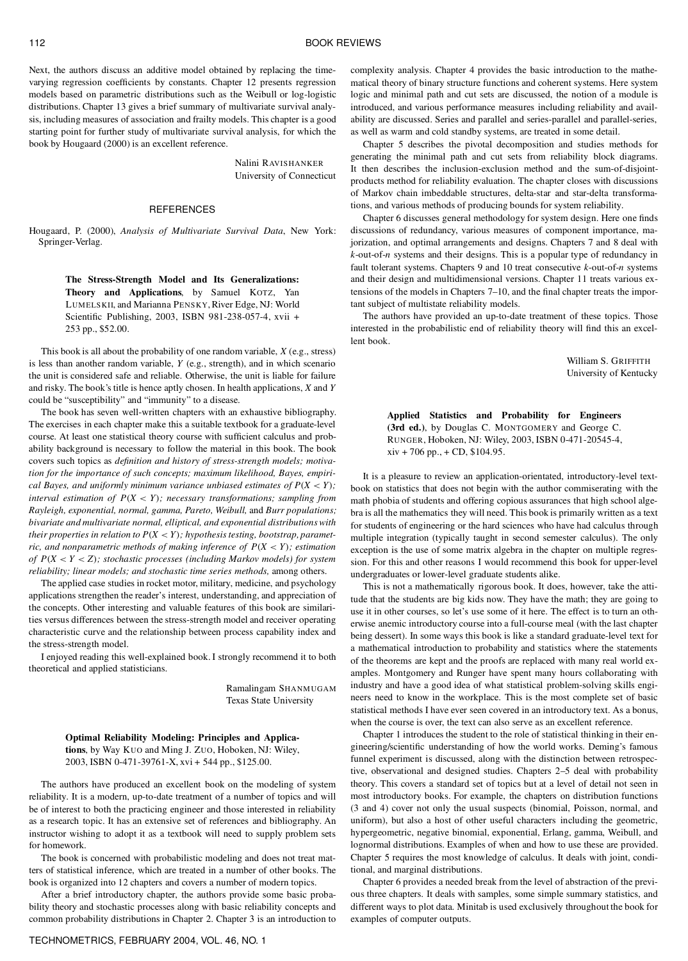Next, the authors discuss an additive model obtained by replacing the timevarying regression coefficients by constants. Chapter 12 presents regression models based on parametric distributions such as the Weibull or log-logistic distributions. Chapter 13 gives a brief summary of multivariate survival analysis, including measures of association and frailty models. This chapter is a good starting point for further study of multivariate survival analysis, for which the book by Hougaard (2000) is an excellent reference.

> Nalini RAVISHANKER University of Connecticut

# **REFERENCES**

Hougaard, P. (2000), *Analysis of Multivariate Survival Data*, New York: Springer-Verlag.

> **The Stress-Strength Model and Its Generalizations: Theory and Applications**, by Samuel KOTZ, Yan LUMELSKII, and Marianna PENSKY,River Edge, NJ: World Scientific Publishing, 2003, ISBN 981-238-057-4, xvii + 253 pp., \$52.00.

This book is all about the probability of one random variable, *X* (e.g., stress) is less than another random variable, *Y* (e.g., strength), and in which scenario the unit is considered safe and reliable. Otherwise, the unit is liable for failure and risky. The book's title is hence aptly chosen. In health applications, *X* and *Y* could be "susceptibility" and "immunity" to a disease.

The book has seven well-written chapters with an exhaustive bibliography. The exercises in each chapter make this a suitable textbook for a graduate-level course. At least one statistical theory course with sufficient calculus and probability background is necessary to follow the material in this book. The book covers such topics as *definition* and *history* of *stress-strength models; motivation for the importance of such concepts; maximum likelihood, Bayes, empirical Bayes, and uniformly minimum variance unbiased estimates of*  $P(X \leq Y)$ ; *interval estimation of P*.*X* < *Y*/*; necessary transformations; sampling from Rayleigh, exponential, normal, gamma, Pareto, Weibull,* and *Burr populations; bivariate and multivariate normal, elliptical, and exponential distributionswith their properties in relation to*  $P(X \le Y)$ ; *hypothesis testing, bootstrap, parametric, and nonparametric methods of making inference of P*.*X* < *Y*/*; estimation of P*.*X* < *Y* < *Z*/*; stochastic processes (including Markov models) for system reliability; linear models; and stochastic time series methods,* among others.

The applied case studies in rocket motor, military, medicine, and psychology applications strengthen the reader's interest, understanding, and appreciation of the concepts. Other interesting and valuable features of this book are similarities versus differences between the stress-strength model and receiver operating characteristic curve and the relationship between process capability index and the stress-strength model.

I enjoyed reading this well-explained book. I strongly recommend it to both theoretical and applied statisticians.

> Ramalingam SHANMUGAM Texas State University

**Optimal Reliability Modeling: Principles and Applications**, by Way KUO and Ming J. ZUO, Hoboken, NJ: Wiley, 2003, ISBN 0-471-39761-X, xvi + 544 pp., \$125.00.

The authors have produced an excellent book on the modeling of system reliability. It is a modern, up-to-date treatment of a number of topics and will be of interest to both the practicing engineer and those interested in reliability as a research topic. It has an extensive set of references and bibliography. An instructor wishing to adopt it as a textbook will need to supply problem sets for homework.

The book is concerned with probabilistic modeling and does not treat matters of statistical inference, which are treated in a number of other books. The book is organized into 12 chapters and covers a number of modern topics.

After a brief introductory chapter, the authors provide some basic probability theory and stochastic processes along with basic reliability concepts and common probability distributions in Chapter 2. Chapter 3 is an introduction to complexity analysis. Chapter 4 provides the basic introduction to the mathematical theory of binary structure functions and coherent systems. Here system logic and minimal path and cut sets are discussed, the notion of a module is introduced, and various performance measures including reliability and availability are discussed. Series and parallel and series-parallel and parallel-series, as well as warm and cold standby systems, are treated in some detail.

Chapter 5 describes the pivotal decomposition and studies methods for generating the minimal path and cut sets from reliability block diagrams. It then describes the inclusion-exclusion method and the sum-of-disjointproducts method for reliability evaluation. The chapter closes with discussions of Markov chain imbeddable structures, delta-star and star-delta transformations, and various methods of producing bounds for system reliability.

Chapter 6 discusses general methodology for system design. Here one finds discussions of redundancy, various measures of component importance, majorization, and optimal arrangements and designs. Chapters 7 and 8 deal with *k*-out-of-*n* systems and their designs. This is a popular type of redundancy in fault tolerant systems. Chapters 9 and 10 treat consecutive *k*-out-of-*n* systems and their design and multidimensional versions. Chapter 11 treats various extensions of the models in Chapters  $7-10$ , and the final chapter treats the important subject of multistate reliability models.

The authors have provided an up-to-date treatment of these topics. Those interested in the probabilistic end of reliability theory will find this an excellent book.

> William S. GRIFFITH University of Kentucky

**Applied Statistics and Probability for Engineers (3rd ed.)**, by Douglas C. MONTGOMERY and George C. RUNGER, Hoboken, NJ: Wiley, 2003, ISBN 0-471-20545-4, xiv + 706 pp., + CD, \$104.95.

It is a pleasure to review an application-orientated, introductory-level textbook on statistics that does not begin with the author commiserating with the math phobia of students and offering copious assurances that high school algebra is all the mathematics they will need. This book is primarily written as a text for students of engineering or the hard sciences who have had calculus through multiple integration (typically taught in second semester calculus). The only exception is the use of some matrix algebra in the chapter on multiple regression. For this and other reasons I would recommend this book for upper-level undergraduates or lower-level graduate students alike.

This is not a mathematically rigorous book. It does, however, take the attitude that the students are big kids now. They have the math; they are going to use it in other courses, so let's use some of it here. The effect is to turn an otherwise anemic introductory course into a full-course meal (with the last chapter being dessert). In some ways this book is like a standard graduate-level text for a mathematical introduction to probability and statistics where the statements of the theorems are kept and the proofs are replaced with many real world ex amples. Montgomery and Runger have spent many hours collaborating with industry and have a good idea of what statistical problem-solving skills engi neers need to know in the workplace. This is the most complete set of basic statistical methods I have ever seen covered in an introductory text. As a bonus, when the course is over, the text can also serve as an excellent reference.

Chapter 1 introduces the student to the role of statistical thinking in their en gineering/scientific understanding of how the world works. Deming's famous funnel experiment is discussed, along with the distinction between retrospective, observational and designed studies. Chapters 2–5 deal with probability theory. This covers a standard set of topics but at a level of detail not seen in most introductory books. For example, the chapters on distribution functions (3 and 4) cover not only the usual suspects (binomial, Poisson, normal, and uniform), but also a host of other useful characters including the geometric, hypergeometric, negative binomial, exponential, Erlang, gamma, Weibull, and lognormal distributions. Examples of when and how to use these are provided. Chapter 5 requires the most knowledge of calculus. It deals with joint, conditional, and marginal distributions.

Chapter 6 provides a needed break from the level of abstraction of the previ ous three chapters. It deals with samples, some simple summary statistics, and different ways to plot data. Minitab is used exclusively throughout the book for examples of computer outputs.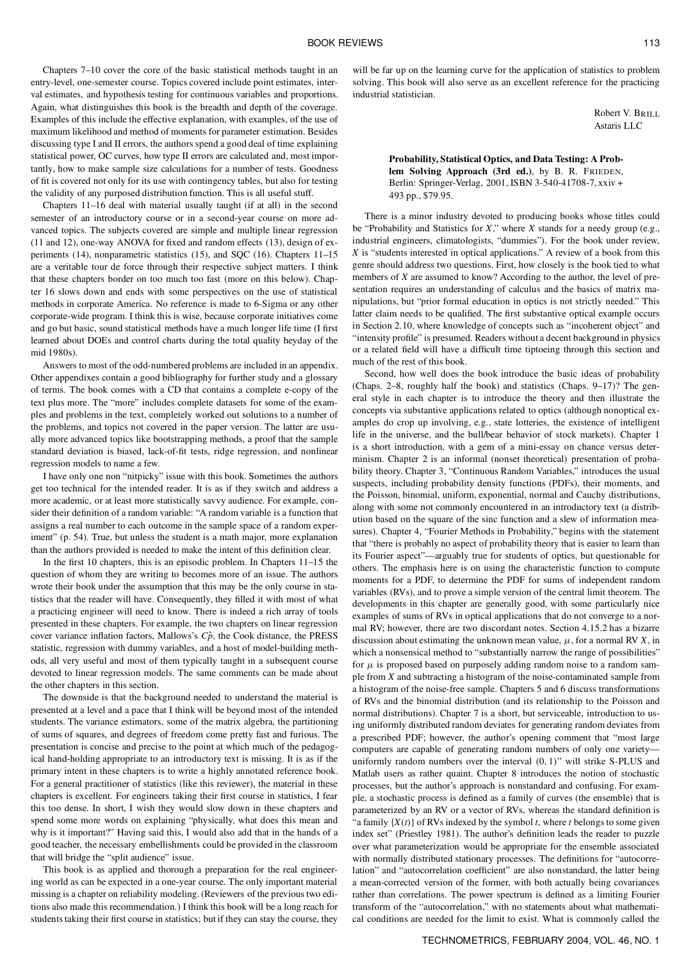Chapters 7–10 cover the core of the basic statistical methods taught in an entry-level, one-semester course. Topics covered include point estimates, interval estimates, and hypothesis testing for continuous variables and proportions. Again, what distinguishes this book is the breadth and depth of the coverage. Examples of this include the effective explanation, with examples, of the use of maximum likelihood and method of moments for parameter estimation. Besides discussing type I and II errors, the authors spend a good deal of time explaining statistical power, OC curves, how type II errors are calculated and, most importantly, how to make sample size calculations for a number of tests. Goodness of fit is covered not only for its use with contingency tables, but also for testing the validity of any purposed distribution function. This is all useful stuff.

Chapters 11–16 deal with material usually taught (if at all) in the second semester of an introductory course or in a second-year course on more advanced topics. The subjects covered are simple and multiple linear regression  $(11$  and  $12)$ , one-way ANOVA for fixed and random effects  $(13)$ , design of experiments (14), nonparametric statistics (15), and SQC (16). Chapters 11–15 are a veritable tour de force through their respective subject matters. I think that these chapters border on too much too fast (more on this below). Chapter 16 slows down and ends with some perspectives on the use of statistical methods in corporate America. No reference is made to 6-Sigma or any other corporate-wide program. I think thisis wise, because corporate initiatives come and go but basic, sound statistical methods have a much longer life time (I first learned about DOEs and control charts during the total quality heyday of the mid 1980s).

Answers to most of the odd-numbered problems are included in an appendix. Other appendixes contain a good bibliography for further study and a glossary of terms. The book comes with a CD that contains a complete e-copy of the text plus more. The "more" includes complete datasets for some of the exam ples and problems in the text, completely worked out solutions to a number of the problems, and topics not covered in the paper version. The latter are usu ally more advanced topics like bootstrapping methods, a proof that the sample standard deviation is biased, lack-of-fit tests, ridge regression, and nonlinear regression models to name a few.

I have only one non "nitpicky" issue with this book. Sometimes the authors get too technical for the intended reader. It is as if they switch and address a more academic, or at least more statistically savvy audience. For example, consider their definition of a random variable: "A random variable is a function that assigns a real number to each outcome in the sample space of a random experiment" (p. 54). True, but unless the student is a math major, more explanation than the authors provided is needed to make the intent of this definition clear.

In the first 10 chapters, this is an episodic problem. In Chapters  $11-15$  the question of whom they are writing to becomes more of an issue. The authors wrote their book under the assumption that this may be the only course in statistics that the reader will have. Consequently, they filled it with most of what a practicing engineer will need to know. There is indeed a rich array of tools presented in these chapters. For example, the two chapters on linear regression cover variance inflation factors, Mallows's  $C\hat{p}$ , the Cook distance, the PRESS statistic, regression with dummy variables, and a host of model-building methods, all very useful and most of them typically taught in a subsequent course devoted to linear regression models. The same comments can be made about the other chapters in this section.

The downside is that the background needed to understand the material is presented at a level and a pace that I think will be beyond most of the intended students. The variance estimators, some of the matrix algebra, the partitioning of sums of squares, and degrees of freedom come pretty fast and furious. The presentation is concise and precise to the point at which much of the pedagogical hand-holding appropriate to an introductory text is missing. It is as if the primary intent in these chapters is to write a highly annotated reference book. For a general practitioner of statistics (like this reviewer), the material in these chapters is excellent. For engineers taking their first course in statistics, I fear this too dense. In short, I wish they would slow down in these chapters and spend some more words on explaining "physically, what does this mean and why is it important?" Having said this, I would also add that in the hands of a good teacher, the necessary embellishments could be provided in the classroom that will bridge the "split audience" issue.

This book is as applied and thorough a preparation for the real engineering world as can be expected in a one-year course. The only important material missing is a chapter on reliability modeling.(Reviewers of the previoustwo editions also made this recommendation.) I think this book will be a long reach for students taking their first course in statistics; but if they can stay the course, they

will be far up on the learning curve for the application of statistics to problem solving. This book will also serve as an excellent reference for the practicing industrial statistician.

> Robert V. BRILL Astaris LLC

# **Probability, Statistical Optics, and Data Testing: A Problem Solving Approach (3rd ed.)**, by B. R. FRIEDEN, Berlin: Springer-Verlag, 2001, ISBN 3-540-41708-7, xxiv + 493 pp., \$79.95.

There is a minor industry devoted to producing books whose titles could be "Probability and Statistics for *X*," where *X* stands for a needy group (e.g., industrial engineers, climatologists, "dummies"). For the book under review,  $X$  is "students interested in optical applications." A review of a book from this genre should address two questions. First, how closely is the book tied to what members of *X* are assumed to know? According to the author, the level of presentation requires an understanding of calculus and the basics of matrix ma nipulations, but "prior formal education in optics is not strictly needed." This latter claim needs to be qualified. The first substantive optical example occurs in Section 2.10, where knowledge of concepts such as "incoherent object" and "intensity profile" is presumed. Readers without a decent background in physics or a related field will have a difficult time tiptoeing through this section and much of the rest of this book.

Second, how well does the book introduce the basic ideas of probability (Chaps. 2–8, roughly half the book) and statistics (Chaps. 9–17)? The general style in each chapter is to introduce the theory and then illustrate the concepts via substantive applications related to optics (although nonoptical ex amples do crop up involving, e.g., state lotteries, the existence of intelligent life in the universe, and the bull/bear behavior of stock markets). Chapter 1 is a short introduction, with a gem of a mini-essay on chance versus determinism. Chapter 2 is an informal (nonset theoretical) presentation of probability theory. Chapter 3, "Continuous Random Variables," introduces the usual suspects, including probability density functions (PDFs), their moments, and the Poisson, binomial, uniform, exponential, normal and Cauchy distributions, along with some not commonly encountered in an introductory text (a distribution based on the square of the sinc function and a slew of information measures). Chapter 4, "Fourier Methods in Probability," begins with the statement that "there is probably no aspect of probability theory that is easier to learn than its Fourier aspect"—arguably true for students of optics, but questionable for others. The emphasis here is on using the characteristic function to compute moments for a PDF, to determine the PDF for sums of independent random variables (RVs), and to prove a simple version of the central limit theorem. The developments in this chapter are generally good, with some particularly nice examples of sums of RVs in optical applications that do not converge to a nor mal RV; however, there are two discordant notes. Section 4.15.2 has a bizarre discussion about estimating the unknown mean value,  $\mu$ , for a normal RV  $X$ , in which a nonsensical method to "substantially narrow the range of possibilities" for  $\mu$  is proposed based on purposely adding random noise to a random sample from *X* and subtracting a histogram of the noise-contaminated sample from a histogram of the noise-free sample. Chapters 5 and 6 discuss transformations of RVs and the binomial distribution (and its relationship to the Poisson and normal distributions). Chapter 7 is a short, but serviceable, introduction to using uniformly distributed random deviates for generating random deviates from a prescribed PDF; however, the author's opening comment that "most large computers are capable of generating random numbers of only one variety uniformly random numbers over the interval  $(0,1)$ " will strike S-PLUS and Matlab users as rather quaint. Chapter 8 introduces the notion of stochastic processes, but the author's approach is nonstandard and confusing. For exam ple, a stochastic process is defined as a family of curves (the ensemble) that is parameterized by an RV or a vector of RVs, whereas the standard definition is "a family  ${X(t)}$  of RVs indexed by the symbol *t*, where *t* belongs to some given index set" (Priestley 1981). The author's definition leads the reader to puzzle over what parameterization would be appropriate for the ensemble associated with normally distributed stationary processes. The definitions for "autocorrelation" and "autocorrelation coefficient" are also nonstandard, the latter being a mean-corrected version of the former, with both actually being covariances rather than correlations. The power spectrum is defined as a limiting Fourier transform of the "autocorrelation," with no statements about what mathematical conditions are needed for the limit to exist. What is commonly called the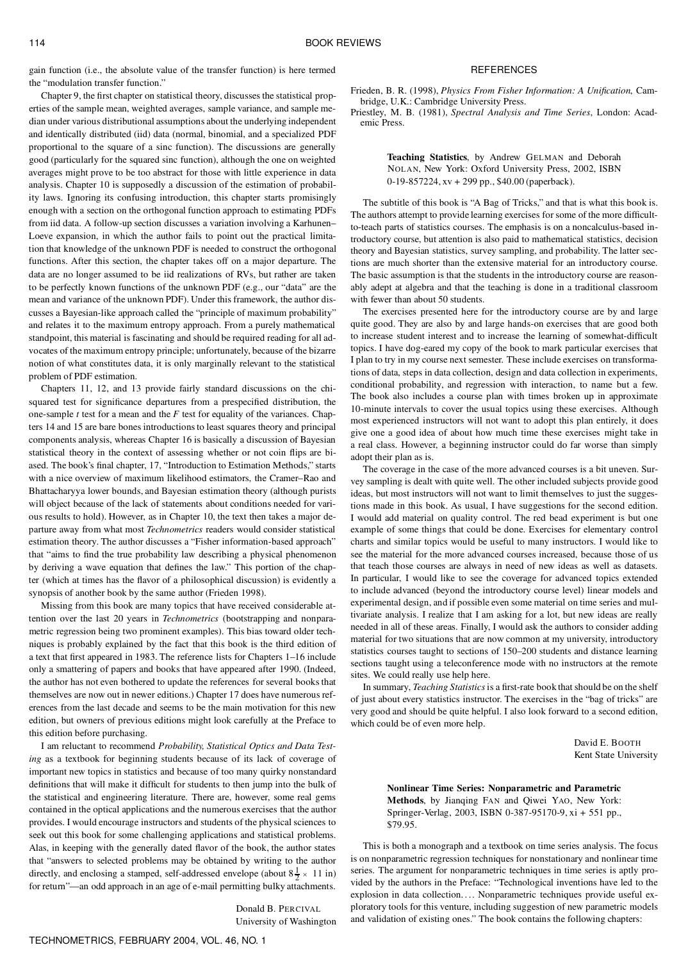gain function (i.e., the absolute value of the transfer function) is here termed the "modulation transfer function."

Chapter 9, the first chapter on statistical theory, discusses the statistical properties of the sample mean, weighted averages, sample variance, and sample me dian under various distributional assumptions about the underlying independent and identically distributed (iid) data (normal, binomial, and a specialized PDF proportional to the square of a sinc function). The discussions are generally good (particularly for the squared sinc function), although the one on weighted averages might prove to be too abstract for those with little experience in data analysis. Chapter 10 is supposedly a discussion of the estimation of probability laws. Ignoring its confusing introduction, this chapter starts promisingly enough with a section on the orthogonal function approach to estimating PDFs from iid data. A follow-up section discusses a variation involving a Karhunen– Loeve expansion, in which the author fails to point out the practical limitation that knowledge of the unknown PDF is needed to construct the orthogonal functions. After this section, the chapter takes off on a major departure. The data are no longer assumed to be iid realizations of RVs, but rather are taken to be perfectly known functions of the unknown PDF (e.g., our "data" are the mean and variance of the unknown PDF). Under this framework, the author dis cusses a Bayesian-like approach called the "principle of maximum probability" and relates it to the maximum entropy approach. From a purely mathematical standpoint, this material is fascinating and should be required reading for all advocates of the maximum entropy principle; unfortunately, because of the bizarre notion of what constitutes data, it is only marginally relevant to the statistical problem of PDF estimation.

Chapters 11, 12, and 13 provide fairly standard discussions on the chisquared test for significance departures from a prespecified distribution, the one-sample *t* test for a mean and the *F* test for equality of the variances. Chapters 14 and 15 are bare bones introductionsto least squares theory and principal components analysis, whereas Chapter 16 is basically a discussion of Bayesian statistical theory in the context of assessing whether or not coin flips are biased. The book's final chapter, 17, "Introduction to Estimation Methods," starts with a nice overview of maximum likelihood estimators, the Cramer–Rao and Bhattacharyya lower bounds, and Bayesian estimation theory (although purists will object because of the lack of statements about conditions needed for vari ous results to hold). However, as in Chapter 10, the text then takes a major departure away from what most *Technometrics* readers would consider statistical estimation theory. The author discusses a "Fisher information-based approach" that "aims to find the true probability law describing a physical phenomenon by deriving a wave equation that defines the law." This portion of the chapter (which at times has the flavor of a philosophical discussion) is evidently a synopsis of another book by the same author (Frieden 1998).

Missing from this book are many topics that have received considerable attention over the last 20 years in *Technometrics* (bootstrapping and nonparametric regression being two prominent examples). This bias toward older techniques is probably explained by the fact that this book is the third edition of a text that first appeared in 1983. The reference lists for Chapters 1–16 include only a smattering of papers and books that have appeared after 1990. (Indeed, the author has not even bothered to update the references for several booksthat themselves are now out in newer editions.) Chapter 17 does have numerous ref erences from the last decade and seems to be the main motivation for this new edition, but owners of previous editions might look carefully at the Preface to this edition before purchasing.

I am reluctant to recommend *Probability, Statistical Optics and Data Testing* as a textbook for beginning students because of its lack of coverage of important new topics in statistics and because of too many quirky nonstandard definitions that will make it difficult for students to then jump into the bulk of the statistical and engineering literature. There are, however, some real gems contained in the optical applications and the numerous exercises that the author provides. I would encourage instructors and students of the physical sciences to seek out this book for some challenging applications and statistical problems. Alas, in keeping with the generally dated flavor of the book, the author states that "answers to selected problems may be obtained by writing to the author directly, and enclosing a stamped, self-addressed envelope (about  $8\frac{1}{2} \times 11$  in) for return"—an odd approach in an age of e-mail permitting bulky attachments.

> Donald B. PERCIVAL University of Washington

# REFERENCES

Frieden, B. R. (1998), *Physics From Fisher Information: A Uni cation*, Cambridge, U.K.: Cambridge University Press.

Priestley, M. B. (1981), *Spectral Analysis and Time Series*, London: Academic Press.

# **Teaching Statistics**, by Andrew GELMAN and Deborah NOLAN, New York: Oxford University Press, 2002, ISBN 0-19-857224, xv + 299 pp., \$40.00 (paperback).

The subtitle of this book is "A Bag of Tricks," and that is what this book is. The authors attempt to provide learning exercises for some of the more difficultto-teach parts of statistics courses. The emphasis is on a noncalculus-based introductory course, but attention is also paid to mathematical statistics, decision theory and Bayesian statistics, survey sampling, and probability. The latter sections are much shorter than the extensive material for an introductory course. The basic assumption is that the students in the introductory course are reason ably adept at algebra and that the teaching is done in a traditional classroom with fewer than about 50 students.

The exercises presented here for the introductory course are by and large quite good. They are also by and large hands-on exercises that are good both to increase student interest and to increase the learning of somewhat-difficult topics. I have dog-eared my copy of the book to mark particular exercises that I plan to try in my course next semester. These include exercises on transformations of data, steps in data collection, design and data collection in experiments, conditional probability, and regression with interaction, to name but a few. The book also includes a course plan with times broken up in approximate 10-minute intervals to cover the usual topics using these exercises. Although most experienced instructors will not want to adopt this plan entirely, it does give one a good idea of about how much time these exercises might take in a real class. However, a beginning instructor could do far worse than simply adopt their plan as is.

The coverage in the case of the more advanced courses is a bit uneven. Survey sampling is dealt with quite well. The other included subjects provide good ideas, but most instructors will not want to limit themselves to just the suggestions made in this book. As usual, I have suggestions for the second edition. I would add material on quality control. The red bead experiment is but one example of some things that could be done. Exercises for elementary control charts and similar topics would be useful to many instructors. I would like to see the material for the more advanced courses increased, because those of us that teach those courses are always in need of new ideas as well as datasets. In particular, I would like to see the coverage for advanced topics extended to include advanced (beyond the introductory course level) linear models and experimental design, and if possible even some material on time series and multivariate analysis. I realize that I am asking for a lot, but new ideas are really needed in all of these areas. Finally, I would ask the authors to consider adding material for two situations that are now common at my university, introductory statistics courses taught to sections of 150–200 students and distance learning sections taught using a teleconference mode with no instructors at the remote sites. We could really use help here.

In summary, *Teaching Statistics* is a first-rate book that should be on the shelf of just about every statistics instructor. The exercises in the "bag of tricks" are very good and should be quite helpful. I also look forward to a second edition, which could be of even more help.

> David E. BOOTH Kent State University

**Nonlinear Time Series: Nonparametric and Parametric Methods**, by Jianqing FAN and Qiwei YAO, New York: Springer-Verlag, 2003, ISBN 0-387-95170-9, xi + 551 pp., \$79.95.

This is both a monograph and a textbook on time series analysis. The focus is on nonparametric regression techniques for nonstationary and nonlinear time series. The argument for nonparametric techniques in time series is aptly provided by the authors in the Preface: "Technological inventions have led to the explosion in data collection.... Nonparametric techniques provide useful exploratory tools for this venture, including suggestion of new parametric models and validation of existing ones." The book contains the following chapters: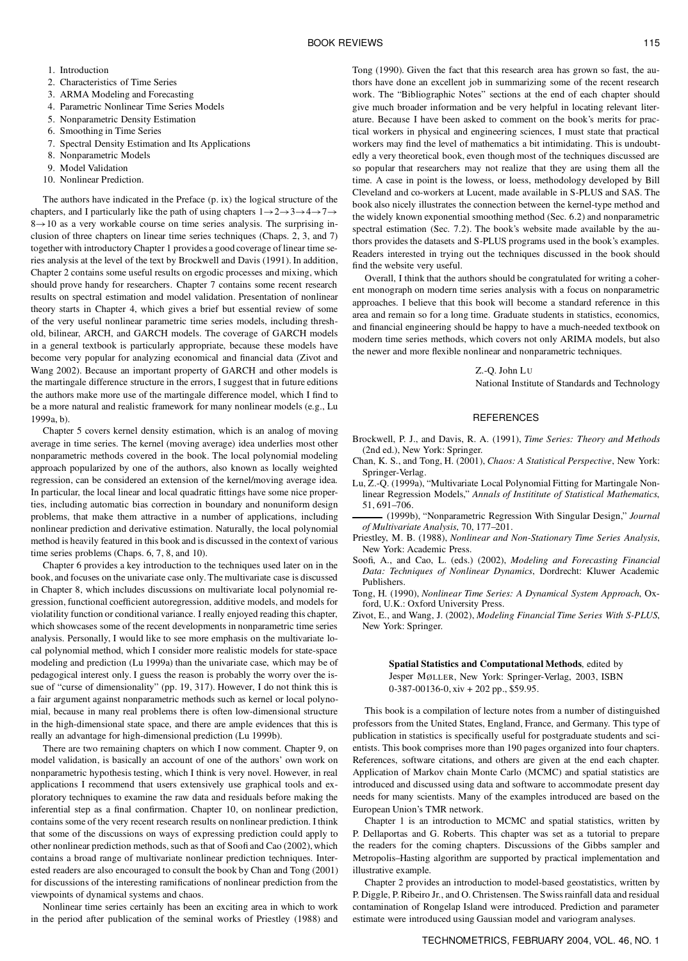- 1. Introduction
- 2. Characteristics of Time Series
- 3. ARMA Modeling and Forecasting
- 4. Parametric Nonlinear Time Series Models
- 5. Nonparametric Density Estimation
- 6. Smoothing in Time Series
- 7. Spectral Density Estimation and Its Applications
- 8. Nonparametric Models
- 9. Model Validation
- 10. Nonlinear Prediction.

The authors have indicated in the Preface (p. ix) the logical structure of the chapters, and I particularly like the path of using chapters  $1 \rightarrow 2 \rightarrow 3 \rightarrow 4 \rightarrow 7 \rightarrow$  $8 \rightarrow 10$  as a very workable course on time series analysis. The surprising inclusion of three chapters on linear time series techniques (Chaps. 2, 3, and 7) together with introductory Chapter 1 provides a good coverage of linear time series analysis at the level of the text by Brockwell and Davis (1991). In addition, Chapter 2 contains some useful results on ergodic processes and mixing, which should prove handy for researchers. Chapter 7 contains some recent research results on spectral estimation and model validation. Presentation of nonlinear theory starts in Chapter 4, which gives a brief but essential review of some of the very useful nonlinear parametric time series models, including threshold, bilinear, ARCH, and GARCH models. The coverage of GARCH models in a general textbook is particularly appropriate, because these models have become very popular for analyzing economical and financial data (Zivot and Wang 2002). Because an important property of GARCH and other models is the martingale difference structure in the errors, I suggest that in future editions the authors make more use of the martingale difference model, which I find to be a more natural and realistic framework for many nonlinear models (e.g., Lu 1999a, b).

Chapter 5 covers kernel density estimation, which is an analog of moving average in time series. The kernel (moving average) idea underlies most other nonparametric methods covered in the book. The local polynomial modeling approach popularized by one of the authors, also known as locally weighted regression, can be considered an extension of the kernel/moving average idea. In particular, the local linear and local quadratic fittings have some nice properties, including automatic bias correction in boundary and nonuniform design problems, that make them attractive in a number of applications, including nonlinear prediction and derivative estimation. Naturally, the local polynomial method is heavily featured in this book and is discussed in the context of various time series problems (Chaps. 6, 7, 8, and 10).

Chapter 6 provides a key introduction to the techniques used later on in the book, and focuses on the univariate case only. The multivariate case is discussed in Chapter 8, which includes discussions on multivariate local polynomial re gression, functional coefficient autoregression, additive models, and models for violatility function or conditional variance. I really enjoyed reading this chapter, which showcases some of the recent developments in nonparametric time series analysis. Personally, I would like to see more emphasis on the multivariate local polynomial method, which I consider more realistic models for state-space modeling and prediction (Lu 1999a) than the univariate case, which may be of pedagogical interest only. I guess the reason is probably the worry over the issue of "curse of dimensionality" (pp. 19, 317). However, I do not think this is a fair argument against nonparametric methods such as kernel or local polynomial, because in many real problems there is often low-dimensional structure in the high-dimensional state space, and there are ample evidences that this is really an advantage for high-dimensional prediction (Lu 1999b).

There are two remaining chapters on which I now comment. Chapter 9, on model validation, is basically an account of one of the authors' own work on nonparametric hypothesis testing, which I think is very novel. However, in real applications I recommend that users extensively use graphical tools and ex ploratory techniques to examine the raw data and residuals before making the inferential step as a final confirmation. Chapter 10, on nonlinear prediction, contains some of the very recent research results on nonlinear prediction. I think that some of the discussions on ways of expressing prediction could apply to other nonlinear prediction methods, such as that of Soofi and Cao (2002), which contains a broad range of multivariate nonlinear prediction techniques. Interested readers are also encouraged to consult the book by Chan and Tong (2001) for discussions of the interesting ramifications of nonlinear prediction from the viewpoints of dynamical systems and chaos.

Nonlinear time series certainly has been an exciting area in which to work in the period after publication of the seminal works of Priestley (1988) and Tong (1990). Given the fact that this research area has grown so fast, the authors have done an excellent job in summarizing some of the recent research work. The "Bibliographic Notes" sections at the end of each chapter should give much broader information and be very helpful in locating relevant literature. Because I have been asked to comment on the book's merits for practical workers in physical and engineering sciences, I must state that practical workers may find the level of mathematics a bit intimidating. This is undoubtedly a very theoretical book, even though most of the techniques discussed are so popular that researchers may not realize that they are using them all the time. A case in point is the lowess, or loess, methodology developed by Bill Cleveland and co-workers at Lucent, made available in S-PLUS and SAS. The book also nicely illustrates the connection between the kernel-type method and the widely known exponential smoothing method (Sec. 6.2) and nonparametric spectral estimation (Sec. 7.2). The book's website made available by the authors provides the datasets and S-PLUS programs used in the book's examples. Readers interested in trying out the techniques discussed in the book should find the website very useful.

Overall, I think that the authors should be congratulated for writing a coherent monograph on modern time series analysis with a focus on nonparametric approaches. I believe that this book will become a standard reference in this area and remain so for a long time. Graduate students in statistics, economics, and financial engineering should be happy to have a much-needed textbook on modern time series methods, which covers not only ARIMA models, but also the newer and more flexible nonlinear and nonparametric techniques.

> Z.-Q. John LU National Institute of Standards and Technology

#### **REFERENCES**

- Brockwell, P. J., and Davis, R. A. (1991), *Time Series: Theory and Methods* (2nd ed.), New York: Springer.
- Chan, K. S., and Tong, H. (2001), *Chaos: A Statistical Perspective*, New York: Springer-Verlag.
- Lu, Z.-Q. (1999a), "Multivariate Local Polynomial Fitting for Martingale Nonlinear Regression Models," *Annals of Instititute of Statistical Mathematics*, 51, 691–706.
- (1999b), "Nonparametric Regression With Singular Design," *Journal of Multivariate Analysis*, 70, 177–201.
- Priestley, M. B. (1988), *Nonlinear and Non-Stationary Time Series Analysis*, New York: Academic Press.
- Soofi, A., and Cao, L. (eds.) (2002), *Modeling and Forecasting Financial Data: Techniques of Nonlinear Dynamics*, Dordrecht: Kluwer Academic Publishers.
- Tong, H. (1990), *Nonlinear Time Series: A Dynamical System Approach*, Oxford, U.K.: Oxford University Press.
- Zivot, E., and Wang, J. (2002), *Modeling Financial Time Series With S-PLUS*, New York: Springer.

**Spatial Statistics and Computational Methods**, edited by Jesper MØLLER, New York: Springer-Verlag, 2003, ISBN 0-387-00136-0, xiv + 202 pp., \$59.95.

This book is a compilation of lecture notes from a number of distinguished professors from the United States, England, France, and Germany. This type of publication in statistics is specifically useful for postgraduate students and scientists. This book comprises more than 190 pages organized into four chapters. References, software citations, and others are given at the end each chapter. Application of Markov chain Monte Carlo (MCMC) and spatial statistics are introduced and discussed using data and software to accommodate present day needs for many scientists. Many of the examples introduced are based on the European Union's TMR network.

Chapter 1 is an introduction to MCMC and spatial statistics, written by P. Dellaportas and G. Roberts. This chapter was set as a tutorial to prepare the readers for the coming chapters. Discussions of the Gibbs sampler and Metropolis–Hasting algorithm are supported by practical implementation and illustrative example.

Chapter 2 provides an introduction to model-based geostatistics, written by P. Diggle, P. Ribeiro Jr., and O. Christensen. The Swissrainfall data and residual contamination of Rongelap Island were introduced. Prediction and parameter estimate were introduced using Gaussian model and variogram analyses.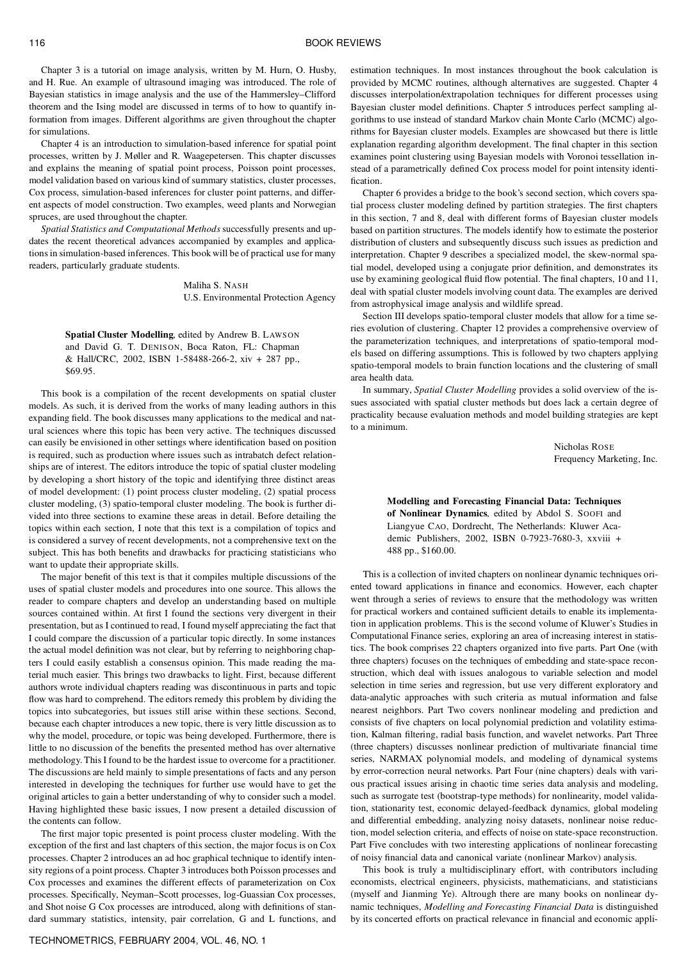Chapter 3 is a tutorial on image analysis, written by M. Hurn, O. Husby, and H. Rue. An example of ultrasound imaging was introduced. The role of Bayesian statistics in image analysis and the use of the Hammersley–Clifford theorem and the Ising model are discussed in terms of to how to quantify information from images. Different algorithms are given throughout the chapter for simulations.

Chapter 4 is an introduction to simulation-based inference for spatial point processes, written by J. Møller and R. Waagepetersen. This chapter discusses and explains the meaning of spatial point process, Poisson point processes, model validation based on various kind of summary statistics, cluster processes, Cox process, simulation-based inferences for cluster point patterns, and different aspects of model construction. Two examples, weed plants and Norwegian spruces, are used throughout the chapter.

*Spatial Statistics and Computational Methods*successfully presents and updates the recent theoretical advances accompanied by examples and applications in simulation-based inferences. This book will be of practical use for many readers, particularly graduate students.

> Maliha S. NASH U.S. Environmental Protection Agency

**Spatial Cluster Modelling**, edited by Andrew B. LAWSON and David G. T. DENISON, Boca Raton, FL: Chapman & Hall/CRC, 2002, ISBN 1-58488-266-2, xiv + 287 pp., \$69.95.

This book is a compilation of the recent developments on spatial cluster models. As such, it is derived from the works of many leading authors in this expanding field. The book discusses many applications to the medical and natural sciences where this topic has been very active. The techniques discussed can easily be envisioned in other settings where identification based on position is required, such as production where issues such as intrabatch defect relationships are of interest. The editors introduce the topic of spatial cluster modeling by developing a short history of the topic and identifying three distinct areas of model development: (1) point process cluster modeling, (2) spatial process cluster modeling, (3) spatio-temporal cluster modeling. The book is further divided into three sections to examine these areas in detail. Before detailing the topics within each section, I note that this text is a compilation of topics and is considered a survey of recent developments, not a comprehensive text on the subject. This has both benefits and drawbacks for practicing statisticians who want to update their appropriate skills.

The major benefit of this text is that it compiles multiple discussions of the uses of spatial cluster models and procedures into one source. This allows the reader to compare chapters and develop an understanding based on multiple sources contained within. At first I found the sections very divergent in their presentation, but as I continued to read, I found myself appreciating the fact that I could compare the discussion of a particular topic directly. In some instances the actual model definition was not clear, but by referring to neighboring chapters I could easily establish a consensus opinion. This made reading the material much easier. This brings two drawbacks to light. First, because different authors wrote individual chapters reading was discontinuous in parts and topic flow was hard to comprehend. The editors remedy this problem by dividing the topics into subcategories, but issues still arise within these sections. Second, because each chapter introduces a new topic, there is very little discussion as to why the model, procedure, or topic was being developed. Furthermore, there is little to no discussion of the benefits the presented method has over alternative methodology. This I found to be the hardest issue to overcome for a practitioner. The discussions are held mainly to simple presentations of facts and any person interested in developing the techniques for further use would have to get the original articles to gain a better understanding of why to consider such a model. Having highlighted these basic issues, I now present a detailed discussion of the contents can follow.

The first major topic presented is point process cluster modeling. With the exception of the first and last chapters of this section, the major focus is on Cox processes. Chapter 2 introduces an ad hoc graphical technique to identify intensity regions of a point process. Chapter 3 introduces both Poisson processes and Cox processes and examines the different effects of parameterization on Cox processes. Specifically, Neyman–Scott processes, log-Guassian Cox processes, and Shot noise G Cox processes are introduced, along with definitions of standard summary statistics, intensity, pair correlation, G and L functions, and

#### TECHNOMETRICS, FEBRUARY 2004, VOL. 46, NO. 1

estimation techniques. In most instances throughout the book calculation is provided by MCMC routines, although alternatives are suggested. Chapter 4 discusses interpolation/extrapolation techniques for different processes using Bayesian cluster model definitions. Chapter 5 introduces perfect sampling algorithms to use instead of standard Markov chain Monte Carlo (MCMC) algorithms for Bayesian cluster models. Examples are showcased but there is little explanation regarding algorithm development. The final chapter in this section examines point clustering using Bayesian models with Voronoi tessellation instead of a parametrically defined Cox process model for point intensity identification.

Chapter 6 provides a bridge to the book's second section, which covers spatial process cluster modeling defined by partition strategies. The first chapters in this section, 7 and 8, deal with different forms of Bayesian cluster models based on partition structures. The models identify how to estimate the posterior distribution of clusters and subsequently discuss such issues as prediction and interpretation. Chapter 9 describes a specialized model, the skew-normal spatial model, developed using a conjugate prior definition, and demonstrates its use by examining geological fluid flow potential. The final chapters, 10 and 11, deal with spatial cluster models involving count data. The examples are derived from astrophysical image analysis and wildlife spread.

Section III develops spatio-temporal cluster models that allow for a time series evolution of clustering. Chapter 12 provides a comprehensive overview of the parameterization techniques, and interpretations of spatio-temporal models based on differing assumptions. This is followed by two chapters applying spatio-temporal models to brain function locations and the clustering of small area health data.

In summary, *Spatial Cluster Modelling* provides a solid overview of the issues associated with spatial cluster methods but does lack a certain degree of practicality because evaluation methods and model building strategies are kept to a minimum.

> Nicholas ROSE Frequency Marketing, Inc.

**Modelling and Forecasting Financial Data: Techniques of Nonlinear Dynamics**, edited by Abdol S. SOOFI and Liangyue CAO, Dordrecht, The Netherlands: Kluwer Academic Publishers, 2002, ISBN 0-7923-7680-3, xxviii + 488 pp., \$160.00.

This is a collection of invited chapters on nonlinear dynamic techniques oriented toward applications in finance and economics. However, each chapter went through a series of reviews to ensure that the methodology was written for practical workers and contained sufficient details to enable its implementation in application problems. This is the second volume of Kluwer's Studies in Computational Finance series, exploring an area of increasing interest in statistics. The book comprises 22 chapters organized into five parts. Part One (with three chapters) focuses on the techniques of embedding and state-space reconstruction, which deal with issues analogous to variable selection and model selection in time series and regression, but use very different exploratory and data-analytic approaches with such criteria as mutual information and false nearest neighbors. Part Two covers nonlinear modeling and prediction and consists of five chapters on local polynomial prediction and volatility estimation, Kalman filtering, radial basis function, and wavelet networks. Part Three (three chapters) discusses nonlinear prediction of multivariate financial time series, NARMAX polynomial models, and modeling of dynamical systems by error-correction neural networks. Part Four (nine chapters) deals with vari ous practical issues arising in chaotic time series data analysis and modeling, such as surrogate test (bootstrap-type methods) for nonlinearity, model validation, stationarity test, economic delayed-feedback dynamics, global modeling and differential embedding, analyzing noisy datasets, nonlinear noise reduction, model selection criteria, and effects of noise on state-space reconstruction. Part Five concludes with two interesting applications of nonlinear forecasting of noisy financial data and canonical variate (nonlinear Markov) analysis.

This book is truly a multidisciplinary effort, with contributors including economists, electrical engineers, physicists, mathematicians, and statisticians (myself and Jianming Ye). Altrough there are many books on nonlinear dynamic techniques, *Modelling and Forecasting Financial Data* is distinguished by its concerted efforts on practical relevance in financial and economic appli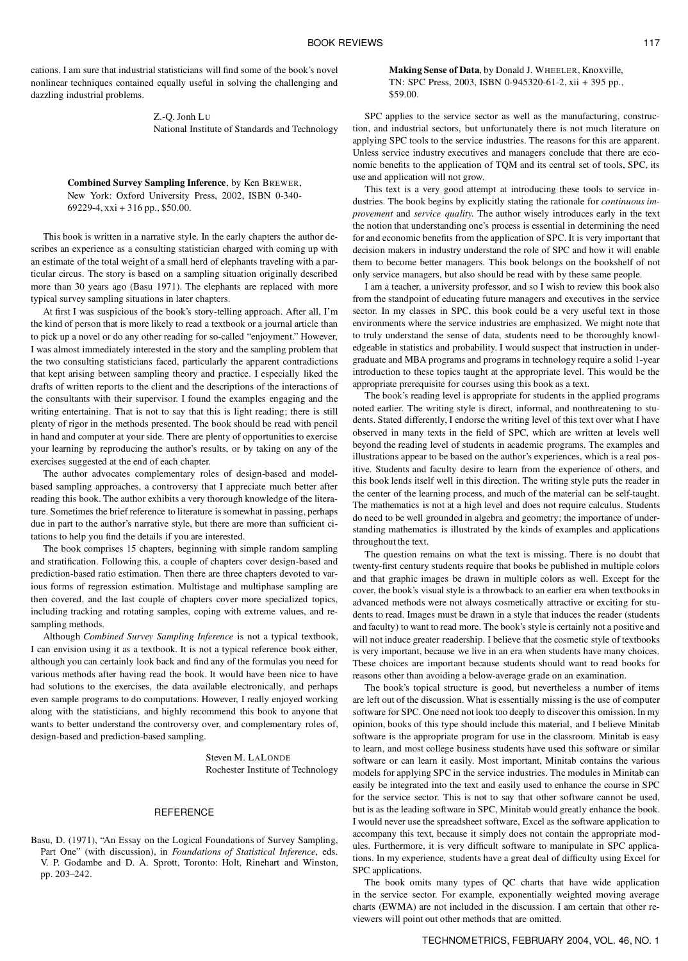cations. I am sure that industrial statisticians will find some of the book's novel nonlinear techniques contained equally useful in solving the challenging and dazzling industrial problems.

> Z.-Q. Jonh LU National Institute of Standards and Technology

**Combined Survey Sampling Inference**, by Ken BREWER, New York: Oxford University Press, 2002, ISBN 0-340- 69229-4, xxi + 316 pp., \$50.00.

This book is written in a narrative style. In the early chapters the author describes an experience as a consulting statistician charged with coming up with an estimate of the total weight of a small herd of elephants traveling with a particular circus. The story is based on a sampling situation originally described more than 30 years ago (Basu 1971). The elephants are replaced with more typical survey sampling situations in later chapters.

At first I was suspicious of the book's story-telling approach. After all, I'm the kind of person that is more likely to read a textbook or a journal article than to pick up a novel or do any other reading for so-called "enjoyment." However, I was almost immediately interested in the story and the sampling problem that the two consulting statisticians faced, particularly the apparent contradictions that kept arising between sampling theory and practice. I especially liked the drafts of written reports to the client and the descriptions of the interactions of the consultants with their supervisor. I found the examples engaging and the writing entertaining. That is not to say that this is light reading; there is still plenty of rigor in the methods presented. The book should be read with pencil in hand and computer at your side. There are plenty of opportunities to exercise your learning by reproducing the author's results, or by taking on any of the exercises suggested at the end of each chapter.

The author advocates complementary roles of design-based and modelbased sampling approaches, a controversy that I appreciate much better after reading this book. The author exhibits a very thorough knowledge of the literature. Sometimes the brief reference to literature issomewhat in passing, perhaps due in part to the author's narrative style, but there are more than sufficient citations to help you find the details if you are interested.

The book comprises 15 chapters, beginning with simple random sampling and stratification. Following this, a couple of chapters cover design-based and prediction-based ratio estimation. Then there are three chapters devoted to various forms of regression estimation. Multistage and multiphase sampling are then covered, and the last couple of chapters cover more specialized topics, including tracking and rotating samples, coping with extreme values, and resampling methods.

Although *Combined Survey Sampling Inference* is not a typical textbook, I can envision using it as a textbook. It is not a typical reference book either, although you can certainly look back and find any of the formulas you need for various methods after having read the book. It would have been nice to have had solutions to the exercises, the data available electronically, and perhaps even sample programs to do computations. However, I really enjoyed working along with the statisticians, and highly recommend this book to anyone that wants to better understand the controversy over, and complementary roles of, design-based and prediction-based sampling.

> Steven M. LALONDE Rochester Institute of Technology

#### **REFERENCE**

Basu, D. (1971), "An Essay on the Logical Foundations of Survey Sampling, Part One" (with discussion), in *Foundations of Statistical Inference*, eds. V. P. Godambe and D. A. Sprott, Toronto: Holt, Rinehart and Winston, pp. 203–242.

**Making Sense of Data**, by Donald J. WHEELER, Knoxville, TN: SPC Press, 2003, ISBN 0-945320-61-2, xii + 395 pp., \$59.00.

SPC applies to the service sector as well as the manufacturing, construction, and industrial sectors, but unfortunately there is not much literature on applying SPC tools to the service industries. The reasons for this are apparent. Unless service industry executives and managers conclude that there are eco nomic benefits to the application of TQM and its central set of tools, SPC, its use and application will not grow.

This text is a very good attempt at introducing these tools to service industries. The book begins by explicitly stating the rationale for *continuous improvement* and *service quality*. The author wisely introduces early in the text the notion that understanding one's process is essential in determining the need for and economic benefits from the application of SPC. It is very important that decision makers in industry understand the role of SPC and how it will enable them to become better managers. This book belongs on the bookshelf of not only service managers, but also should be read with by these same people.

I am a teacher, a university professor, and so I wish to review this book also from the standpoint of educating future managers and executives in the service sector. In my classes in SPC, this book could be a very useful text in those environments where the service industries are emphasized. We might note that to truly understand the sense of data, students need to be thoroughly knowledgeable in statistics and probability. I would suspect that instruction in undergraduate and MBA programs and programs in technology require a solid 1-year introduction to these topics taught at the appropriate level. This would be the appropriate prerequisite for courses using this book as a text.

The book's reading level is appropriate for students in the applied programs noted earlier. The writing style is direct, informal, and nonthreatening to students. Stated differently, I endorse the writing level of this text over what I have observed in many texts in the field of SPC, which are written at levels well beyond the reading level of students in academic programs. The examples and illustrations appear to be based on the author's experiences, which is a real positive. Students and faculty desire to learn from the experience of others, and this book lends itself well in this direction. The writing style puts the reader in the center of the learning process, and much of the material can be self-taught. The mathematics is not at a high level and does not require calculus. Students do need to be well grounded in algebra and geometry; the importance of understanding mathematics is illustrated by the kinds of examples and applications throughout the text.

The question remains on what the text is missing. There is no doubt that twenty-first century students require that books be published in multiple colors and that graphic images be drawn in multiple colors as well. Except for the cover, the book's visual style is a throwback to an earlier era when textbooks in advanced methods were not always cosmetically attractive or exciting for students to read. Images must be drawn in a style that induces the reader (students and faculty) to want to read more. The book's style is certainly not a positive and will not induce greater readership. I believe that the cosmetic style of textbooks is very important, because we live in an era when students have many choices. These choices are important because students should want to read books for reasons other than avoiding a below-average grade on an examination.

The book's topical structure is good, but nevertheless a number of items are left out of the discussion. What is essentially missing is the use of computer software for SPC. One need not look too deeply to discover this omission. In my opinion, books of this type should include this material, and I believe Minitab software is the appropriate program for use in the classroom. Minitab is easy to learn, and most college business students have used this software or similar software or can learn it easily. Most important, Minitab contains the various models for applying SPC in the service industries. The modules in Minitab can easily be integrated into the text and easily used to enhance the course in SPC for the service sector. This is not to say that other software cannot be used, but is as the leading software in SPC, Minitab would greatly enhance the book. I would never use the spreadsheet software, Excel as the software application to accompany this text, because it simply does not contain the appropriate modules. Furthermore, it is very difficult software to manipulate in SPC applications. In my experience, students have a great deal of difficulty using Excel for SPC applications.

The book omits many types of QC charts that have wide application in the service sector. For example, exponentially weighted moving average charts (EWMA) are not included in the discussion. I am certain that other re viewers will point out other methods that are omitted.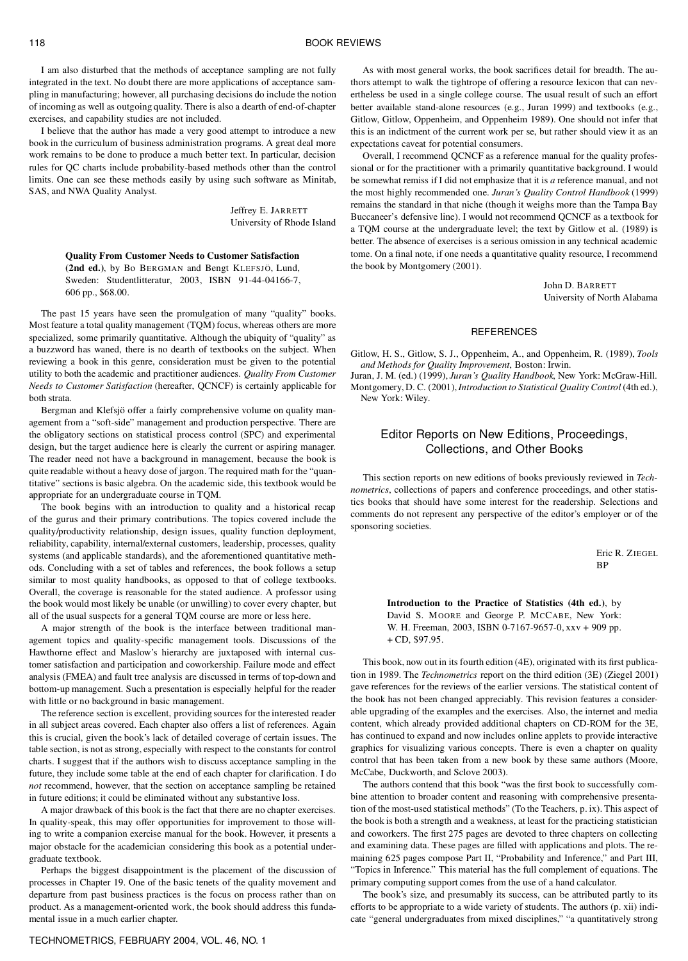I am also disturbed that the methods of acceptance sampling are not fully integrated in the text. No doubt there are more applications of acceptance sam pling in manufacturing; however, all purchasing decisions do include the notion of incoming as well as outgoing quality. There is also a dearth of end-of-chapter exercises, and capability studies are not included.

I believe that the author has made a very good attempt to introduce a new book in the curriculum of business administration programs. A great deal more work remains to be done to produce a much better text. In particular, decision rules for QC charts include probability-based methods other than the control limits. One can see these methods easily by using such software as Minitab, SAS, and NWA Quality Analyst.

> Jeffrey E. JARRETT University of Rhode Island

# **Quality From Customer Needs to Customer Satisfaction**

**(2nd ed.)**, by Bo BERGMAN and Bengt KLEFSJÖ, Lund, Sweden: Studentlitteratur, 2003, ISBN 91-44-04166-7, 606 pp., \$68.00.

The past 15 years have seen the promulgation of many "quality" books. Most feature a total quality management (TQM) focus, whereas others are more specialized, some primarily quantitative. Although the ubiquity of "quality" as a buzzword has waned, there is no dearth of textbooks on the subject. When reviewing a book in this genre, consideration must be given to the potential utility to both the academic and practitioner audiences. *Quality From Customer Needs to Customer Satisfaction* (hereafter, QCNCF) is certainly applicable for both strata.

Bergman and Klefsjö offer a fairly comprehensive volume on quality man agement from a "soft-side" management and production perspective. There are the obligatory sections on statistical process control (SPC) and experimental design, but the target audience here is clearly the current or aspiring manager. The reader need not have a background in management, because the book is quite readable without a heavy dose of jargon. The required math for the "quantitative" sections is basic algebra. On the academic side, this textbook would be appropriate for an undergraduate course in TQM.

The book begins with an introduction to quality and a historical recap of the gurus and their primary contributions. The topics covered include the quality/productivity relationship, design issues, quality function deployment, reliability, capability, internal/external customers, leadership, processes, quality systems (and applicable standards), and the aforementioned quantitative methods. Concluding with a set of tables and references, the book follows a setup similar to most quality handbooks, as opposed to that of college textbooks. Overall, the coverage is reasonable for the stated audience. A professor using the book would most likely be unable (or unwilling) to cover every chapter, but all of the usual suspects for a general TQM course are more or less here.

A major strength of the book is the interface between traditional man agement topics and quality-specific management tools. Discussions of the Hawthorne effect and Maslow's hierarchy are juxtaposed with internal customer satisfaction and participation and coworkership. Failure mode and effect analysis (FMEA) and fault tree analysis are discussed in terms of top-down and bottom-up management. Such a presentation is especially helpful for the reader with little or no background in basic management.

The reference section is excellent, providing sources for the interested reader in all subject areas covered. Each chapter also offers a list of references. Again this is crucial, given the book's lack of detailed coverage of certain issues. The table section, is not as strong, especially with respect to the constants for control charts. I suggest that if the authors wish to discuss acceptance sampling in the future, they include some table at the end of each chapter for clarification. I do *not* recommend, however, that the section on acceptance sampling be retained in future editions; it could be eliminated without any substantive loss.

A major drawback of this book is the fact that there are no chapter exercises. In quality-speak, this may offer opportunities for improvement to those willing to write a companion exercise manual for the book. However, it presents a major obstacle for the academician considering this book as a potential undergraduate textbook.

Perhaps the biggest disappointment is the placement of the discussion of processes in Chapter 19. One of the basic tenets of the quality movement and departure from past business practices is the focus on process rather than on product. As a management-oriented work, the book should address this fundamental issue in a much earlier chapter.

TECHNOMETRICS, FEBRUARY 2004, VOL. 46, NO. 1

As with most general works, the book sacrifices detail for breadth. The authors attempt to walk the tightrope of offering a resource lexicon that can nev ertheless be used in a single college course. The usual result of such an effort better available stand-alone resources (e.g., Juran 1999) and textbooks (e.g., Gitlow, Gitlow, Oppenheim, and Oppenheim 1989). One should not infer that this is an indictment of the current work per se, but rather should view it as an expectations caveat for potential consumers.

Overall, I recommend QCNCF as a reference manual for the quality professional or for the practitioner with a primarily quantitative background. I would be somewhat remiss if I did not emphasize that it is *a* reference manual, and not the most highly recommended one. *Juran's Quality Control Handbook* (1999) remains the standard in that niche (though it weighs more than the Tampa Bay Buccaneer's defensive line). I would not recommend QCNCF as a textbook for a TQM course at the undergraduate level; the text by Gitlow et al. (1989) is better. The absence of exercises is a serious omission in any technical academic tome. On a final note, if one needs a quantitative quality resource, I recommend the book by Montgomery (2001).

> John D. BARRETT University of North Alabama

# REFERENCES

Gitlow, H. S., Gitlow, S. J., Oppenheim, A., and Oppenheim, R. (1989), *Tools and Methods for Quality Improvement*, Boston: Irwin.

Juran, J. M. (ed.) (1999), *Juran's Quality Handbook*, New York: McGraw-Hill. Montgomery, D. C. (2001),*Introduction to Statistical Quality Control* (4th ed.), New York: Wiley.

# Editor Reports on New Editions, Proceedings, Collections, and Other Books

This section reports on new editions of books previously reviewed in *Technometrics*, collections of papers and conference proceedings, and other statistics books that should have some interest for the readership. Selections and comments do not represent any perspective of the editor's employer or of the sponsoring societies.

> Eric R. ZIEGEL **RP**

# **Introduction to the Practice of Statistics (4th ed.)**, by David S. MOORE and George P. MCCABE, New York: W. H. Freeman, 2003, ISBN 0-7167-9657-0, xxv + 909 pp. + CD, \$97.95.

This book, now out in its fourth edition (4E), originated with its first publication in 1989. The *Technometrics* report on the third edition (3E) (Ziegel 2001) gave references for the reviews of the earlier versions. The statistical content of the book has not been changed appreciably. This revision features a considerable upgrading of the examples and the exercises. Also, the internet and media content, which already provided additional chapters on CD-ROM for the 3E, has continued to expand and now includes online applets to provide interactive graphics for visualizing various concepts. There is even a chapter on quality control that has been taken from a new book by these same authors (Moore, McCabe, Duckworth, and Sclove 2003).

The authors contend that this book "was the first book to successfully combine attention to broader content and reasoning with comprehensive presentation of the most-used statistical methods" (To the Teachers, p. ix). This aspect of the book is both a strength and a weakness, at least for the practicing statistician and coworkers. The first 275 pages are devoted to three chapters on collecting and examining data. These pages are filled with applications and plots. The remaining 625 pages compose Part II, "Probability and Inference," and Part III, "Topics in Inference." This material has the full complement of equations. The primary computing support comes from the use of a hand calculator.

The book's size, and presumably its success, can be attributed partly to its efforts to be appropriate to a wide variety of students. The authors (p. xii) indicate "general undergraduates from mixed disciplines," "a quantitatively strong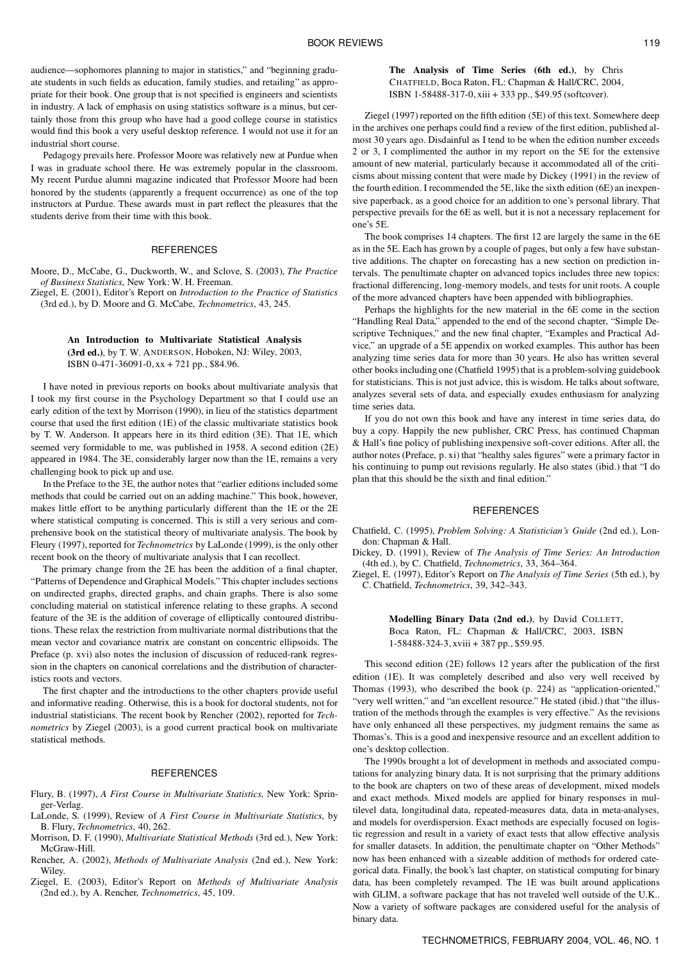audience—sophomores planning to major in statistics," and "beginning graduate students in such fields as education, family studies, and retailing" as appropriate for their book. One group that is not specified is engineers and scientists in industry. A lack of emphasis on using statistics software is a minus, but certainly those from this group who have had a good college course in statistics would find this book a very useful desktop reference. I would not use it for an industrial short course.

Pedagogy prevails here. Professor Moore was relatively new at Purdue when I was in graduate school there. He was extremely popular in the classroom. My recent Purdue alumni magazine indicated that Professor Moore had been honored by the students (apparently a frequent occurrence) as one of the top instructors at Purdue. These awards must in part reflect the pleasures that the students derive from their time with this book.

# **REFERENCES**

Moore, D., McCabe, G., Duckworth, W., and Sclove, S. (2003), *The Practice of Business Statistics*, New York: W. H. Freeman.

Ziegel, E. (2001), Editor's Report on *Introduction to the Practice of Statistics* (3rd ed.), by D. Moore and G. McCabe, *Technometrics*, 43, 245.

> **An Introduction to Multivariate Statistical Analysis (3rd ed.)**, by T. W. ANDERSON, Hoboken, NJ: Wiley, 2003, ISBN 0-471-36091-0, xx + 721 pp., \$84.96.

I have noted in previous reports on books about multivariate analysis that I took my first course in the Psychology Department so that I could use an early edition of the text by Morrison (1990), in lieu of the statistics department course that used the first edition  $(1E)$  of the classic multivariate statistics book by T. W. Anderson. It appears here in its third edition (3E). That 1E, which seemed very formidable to me, was published in 1958. A second edition (2E) appeared in 1984. The 3E, considerably larger now than the 1E, remains a very challenging book to pick up and use.

In the Preface to the 3E, the author notes that "earlier editions included some methods that could be carried out on an adding machine." This book, however, makes little effort to be anything particularly different than the 1E or the 2E where statistical computing is concerned. This is still a very serious and com prehensive book on the statistical theory of multivariate analysis. The book by Fleury (1997), reported for *Technometrics* by LaLonde (1999), is the only other recent book on the theory of multivariate analysis that I can recollect.

The primary change from the 2E has been the addition of a final chapter, "Patterns of Dependence and Graphical Models." This chapter includes sections on undirected graphs, directed graphs, and chain graphs. There is also some concluding material on statistical inference relating to these graphs. A second feature of the 3E is the addition of coverage of elliptically contoured distributions. These relax the restriction from multivariate normal distributionsthat the mean vector and covariance matrix are constant on concentric ellipsoids. The Preface (p. xvi) also notes the inclusion of discussion of reduced-rank regression in the chapters on canonical correlations and the distribution of characteristics roots and vectors.

The first chapter and the introductions to the other chapters provide useful and informative reading. Otherwise, this is a book for doctoral students, not for industrial statisticians. The recent book by Rencher (2002), reported for *Technometrics* by Ziegel (2003), is a good current practical book on multivariate statistical methods.

#### **REFERENCES**

Flury, B. (1997), *A First Course in Multivariate Statistics*, New York: Springer-Verlag.

LaLonde, S. (1999), Review of*A First Course in Multivariate Statistics*, by B. Flury, *Technometrics*, 40, 262.

Morrison, D. F. (1990), *Multivariate Statistical Methods* (3rd ed.), New York: McGraw-Hill.

- Rencher, A. (2002), *Methods of Multivariate Analysis* (2nd ed.), New York: Wiley.
- Ziegel, E. (2003), Editor's Report on *Methods of Multivariate Analysis* (2nd ed.), by A. Rencher, *Technometrics*, 45, 109.

**The Analysis of Time Series (6th ed.)**, by Chris CHATFIELD, Boca Raton, FL: Chapman & Hall/CRC, 2004, ISBN 1-58488-317-0,xiii + 333 pp., \$49.95 (softcover).

Ziegel (1997) reported on the fifth edition (5E) of this text. Somewhere deep in the archives one perhaps could find a review of the first edition, published almost 30 years ago. Disdainful as I tend to be when the edition number exceeds 2 or 3, I complimented the author in my report on the 5E for the extensive amount of new material, particularly because it accommodated all of the criticisms about missing content that were made by Dickey (1991) in the review of the fourth edition. I recommended the 5E, like the sixth edition (6E) an inexpensive paperback, as a good choice for an addition to one's personal library. That perspective prevails for the 6E as well, but it is not a necessary replacement for one's 5E.

The book comprises 14 chapters. The first 12 are largely the same in the  $6E$ as in the 5E. Each has grown by a couple of pages, but only a few have substantive additions. The chapter on forecasting has a new section on prediction intervals. The penultimate chapter on advanced topics includes three new topics: fractional differencing, long-memory models, and tests for unit roots. A couple of the more advanced chapters have been appended with bibliographies.

Perhaps the highlights for the new material in the 6E come in the section "Handling Real Data," appended to the end of the second chapter, "Simple Descriptive Techniques," and the new final chapter, "Examples and Practical Advice," an upgrade of a 5E appendix on worked examples. This author has been analyzing time series data for more than 30 years. He also has written several other books including one (Chatfield 1995) that is a problem-solving guidebook for statisticians. This is not just advice, this is wisdom. He talks about software, analyzes several sets of data, and especially exudes enthusiasm for analyzing time series data.

If you do not own this book and have any interest in time series data, do buy a copy. Happily the new publisher, CRC Press, has continued Chapman & Hall's fine policy of publishing inexpensive soft-cover editions. After all, the author notes (Preface, p. xi) that "healthy sales figures" were a primary factor in his continuing to pump out revisions regularly. He also states (ibid.) that "I do plan that this should be the sixth and final edition."

#### REFERENCES

Chatfield, C. (1995), *Problem Solving: A Statistician's Guide* (2nd ed.), London: Chapman & Hall.

Dickey, D. (1991), Review of *The Analysis of Time Series: An Introduction* (4th ed.), by C. Chatfield, *Technometrics*, 33, 364-364.

Ziegel, E. (1997), Editor's Report on *The Analysis of Time Series* (5th ed.), by C. Chatfield, *Technometrics*, 39, 342-343.

#### **Modelling Binary Data (2nd ed.)**, by David COLLETT, Boca Raton, FL: Chapman & Hall/CRC, 2003, ISBN 1-58488-324-3,xviii + 387 pp., \$59.95.

This second edition (2E) follows 12 years after the publication of the first edition (1E). It was completely described and also very well received by Thomas (1993), who described the book (p. 224) as "application-oriented," "very well written," and "an excellent resource." He stated (ibid.) that "the illustration of the methods through the examples is very effective." As the revisions have only enhanced all these perspectives, my judgment remains the same as Thomas's. This is a good and inexpensive resource and an excellent addition to one's desktop collection.

The 1990s brought a lot of development in methods and associated computations for analyzing binary data. It is not surprising that the primary additions to the book are chapters on two of these areas of development, mixed models and exact methods. Mixed models are applied for binary responses in multilevel data, longitudinal data, repeated-measures data, data in meta-analyses, and models for overdispersion. Exact methods are especially focused on logistic regression and result in a variety of exact tests that allow effective analysis for smaller datasets. In addition, the penultimate chapter on "Other Methods" now has been enhanced with a sizeable addition of methods for ordered categorical data. Finally, the book's last chapter, on statistical computing for binary data, has been completely revamped. The 1E was built around applications with GLIM, a software package that has not traveled well outside of the U.K.. Now a variety of software packages are considered useful for the analysis of binary data.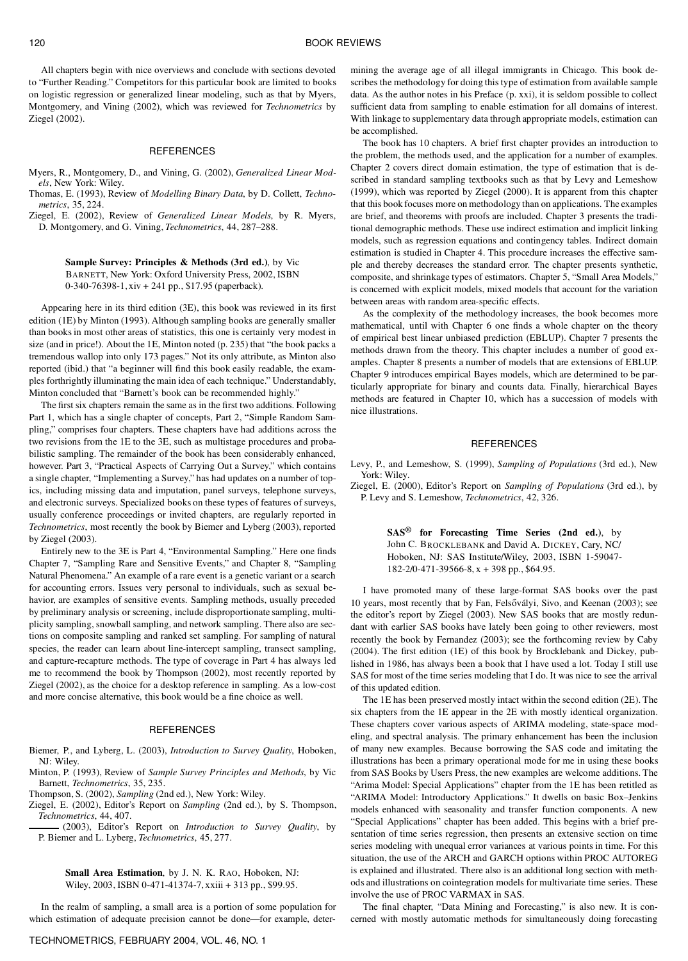All chapters begin with nice overviews and conclude with sections devoted to "Further Reading." Competitors for this particular book are limited to books on logistic regression or generalized linear modeling, such as that by Myers, Montgomery, and Vining (2002), which was reviewed for *Technometrics* by Ziegel (2002).

# **REFERENCES**

Myers, R., Montgomery, D., and Vining, G. (2002), *Generalized Linear Models*, New York: Wiley.

Thomas, E. (1993), Review of*Modelling Binary Data*, by D. Collett, *Technometrics*, 35, 224.

Ziegel, E. (2002), Review of *Generalized Linear Models*, by R. Myers, D. Montgomery, and G. Vining, *Technometrics*, 44, 287–288.

> **Sample Survey: Principles & Methods (3rd ed.)**, by Vic BARNETT, New York: Oxford University Press, 2002, ISBN 0-340-76398-1,xiv + 241 pp., \$17.95 (paperback).

Appearing here in its third edition (3E), this book was reviewed in its first edition (1E) by Minton (1993). Although sampling books are generally smaller than booksin most other areas of statistics, this one is certainly very modest in size (and in price!). About the 1E, Minton noted (p. 235) that "the book packs a tremendous wallop into only 173 pages." Not its only attribute, as Minton also reported (ibid.) that "a beginner will find this book easily readable, the examples forthrightly illuminating the main idea of each technique." Understandably, Minton concluded that "Barnett's book can be recommended highly."

The first six chapters remain the same as in the first two additions. Following Part 1, which has a single chapter of concepts, Part 2, "Simple Random Sampling," comprises four chapters. These chapters have had additions across the two revisions from the 1E to the 3E, such as multistage procedures and probabilistic sampling. The remainder of the book has been considerably enhanced, however. Part 3, "Practical Aspects of Carrying Out a Survey," which contains a single chapter, "Implementing a Survey," has had updates on a number of topics, including missing data and imputation, panel surveys, telephone surveys, and electronic surveys. Specialized books on these types of features of surveys, usually conference proceedings or invited chapters, are regularly reported in *Technometrics*, most recently the book by Biemer and Lyberg (2003), reported by Ziegel (2003).

Entirely new to the 3E is Part 4, "Environmental Sampling." Here one finds Chapter 7, "Sampling Rare and Sensitive Events," and Chapter 8, "Sampling Natural Phenomena." An example of a rare event is a genetic variant or a search for accounting errors. Issues very personal to individuals, such as sexual behavior, are examples of sensitive events. Sampling methods, usually preceded by preliminary analysis or screening, include disproportionate sampling, multiplicity sampling, snowball sampling, and network sampling. There also are sections on composite sampling and ranked set sampling. For sampling of natural species, the reader can learn about line-intercept sampling, transect sampling, and capture-recapture methods. The type of coverage in Part 4 has always led me to recommend the book by Thompson (2002), most recently reported by Ziegel (2002), as the choice for a desktop reference in sampling. As a low-cost and more concise alternative, this book would be a fine choice as well.

#### REFERENCES

Biemer, P., and Lyberg, L. (2003), *Introduction to Survey Quality*, Hoboken, NJ: Wiley.

Minton, P. (1993), Review of*Sample Survey Principles and Methods*, by Vic Barnett, *Technometrics*, 35, 235.

Thompson, S. (2002), *Sampling* (2nd ed.), New York: Wiley.

Ziegel, E. (2002), Editor's Report on *Sampling* (2nd ed.), by S. Thompson, *Technometrics*, 44, 407.

(2003), Editor's Report on *Introduction to Survey Quality*, by P. Biemer and L. Lyberg, *Technometrics*, 45, 277.

> **Small Area Estimation**, by J. N. K. RAO, Hoboken, NJ: Wiley, 2003, ISBN 0-471-41374-7, xxiii + 313 pp., \$99.95.

In the realm of sampling, a small area is a portion of some population for which estimation of adequate precision cannot be done—for example, deter-

TECHNOMETRICS, FEBRUARY 2004, VOL. 46, NO. 1

mining the average age of all illegal immigrants in Chicago. This book describes the methodology for doing this type of estimation from available sample data. As the author notes in his Preface (p. xxi), it is seldom possible to collect sufficient data from sampling to enable estimation for all domains of interest. With linkage to supplementary data through appropriate models, estimation can be accomplished.

The book has 10 chapters. A brief first chapter provides an introduction to the problem, the methods used, and the application for a number of examples. Chapter 2 covers direct domain estimation, the type of estimation that is described in standard sampling textbooks such as that by Levy and Lemeshow (1999), which was reported by Ziegel (2000). It is apparent from this chapter that this book focuses more on methodology than on applications. The examples are brief, and theorems with proofs are included. Chapter 3 presents the traditional demographic methods. These use indirect estimation and implicit linking models, such as regression equations and contingency tables. Indirect domain estimation is studied in Chapter 4. This procedure increases the effective sam ple and thereby decreases the standard error. The chapter presents synthetic, composite, and shrinkage types of estimators. Chapter 5, "Small Area Models," is concerned with explicit models, mixed models that account for the variation between areas with random area-specific effects.

As the complexity of the methodology increases, the book becomes more mathematical, until with Chapter 6 one finds a whole chapter on the theory of empirical best linear unbiased prediction (EBLUP). Chapter 7 presents the methods drawn from the theory. This chapter includes a number of good ex amples. Chapter 8 presents a number of models that are extensions of EBLUP. Chapter 9 introduces empirical Bayes models, which are determined to be particularly appropriate for binary and counts data. Finally, hierarchical Bayes methods are featured in Chapter 10, which has a succession of models with nice illustrations.

#### **REFERENCES**

Levy, P., and Lemeshow, S. (1999), *Sampling of Populations* (3rd ed.), New York: Wiley.

Ziegel, E. (2000), Editor's Report on *Sampling of Populations* (3rd ed.), by P. Levy and S. Lemeshow, *Technometrics*, 42, 326.

> **SAS® for Forecasting Time Series (2nd ed.)**, by John C. BROCKLEBANK and David A. DICKEY, Cary, NC/ Hoboken, NJ: SAS Institute/Wiley, 2003, ISBN 1-59047- 182-2/0-471-39566-8, x + 398 pp., \$64.95.

I have promoted many of these large-format SAS books over the past 10 years, most recently that by Fan, Felsővályi, Sivo, and Keenan (2003); see the editor's report by Ziegel (2003). New SAS books that are mostly redundant with earlier SAS books have lately been going to other reviewers, most recently the book by Fernandez (2003); see the forthcoming review by Caby (2004). The first edition (1E) of this book by Brocklebank and Dickey, published in 1986, has always been a book that I have used a lot. Today I still use SAS for most of the time series modeling that I do. It was nice to see the arrival of this updated edition.

The 1E has been preserved mostly intact within the second edition (2E). The six chapters from the 1E appear in the 2E with mostly identical organization. These chapters cover various aspects of ARIMA modeling, state-space modeling, and spectral analysis. The primary enhancement has been the inclusion of many new examples. Because borrowing the SAS code and imitating the illustrations has been a primary operational mode for me in using these books from SAS Books by Users Press, the new examples are welcome additions. The "Arima Model: Special Applications" chapter from the 1E has been retitled as "ARIMA Model: Introductory Applications." It dwells on basic Box–Jenkins models enhanced with seasonality and transfer function components. A new "Special Applications" chapter has been added. This begins with a brief presentation of time series regression, then presents an extensive section on time series modeling with unequal error variances at various points in time. For this situation, the use of the ARCH and GARCH options within PROC AUTOREG is explained and illustrated. There also is an additional long section with methods and illustrations on cointegration models for multivariate time series. These involve the use of PROC VARMAX in SAS.

The final chapter, "Data Mining and Forecasting," is also new. It is concerned with mostly automatic methods for simultaneously doing forecasting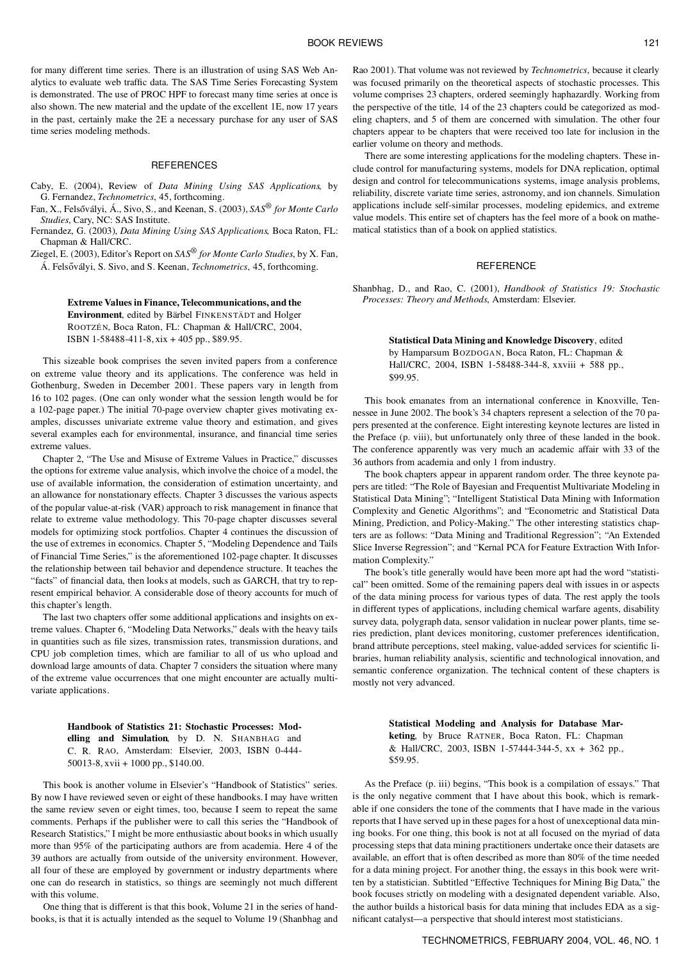for many different time series. There is an illustration of using SAS Web Analytics to evaluate web traffic data. The SAS Time Series Forecasting System is demonstrated. The use of PROC HPF to forecast many time series at once is also shown. The new material and the update of the excellent 1E, now 17 years in the past, certainly make the 2E a necessary purchase for any user of SAS time series modeling methods.

#### **REFERENCES**

- Caby, E. (2004), Review of *Data Mining Using SAS Applications*, by G. Fernandez, *Technometrics*, 45, forthcoming.
- Fan, X., Felsővályi, Á., Sivo, S., and Keenan, S. (2003), *SAS<sup>®</sup> for Monte Carlo Studies*, Cary, NC: SAS Institute.

Fernandez, G. (2003), *Data Mining Using SAS Applications*, Boca Raton, FL: Chapman & Hall/CRC.

Ziegel, E. (2003), Editor's Report on *SAS® for Monte Carlo Studies*, by X. Fan, Á. Felsővályi, S. Sivo, and S. Keenan, *Technometrics*, 45, forthcoming.

> **Extreme Values in Finance, Telecommunications, and the Environment**, edited by Bärbel FINKENSTÄDT and Holger ROOTZÉ N, Boca Raton, FL: Chapman & Hall/CRC, 2004, ISBN 1-58488-411-8, xix + 405 pp., \$89.95.

This sizeable book comprises the seven invited papers from a conference on extreme value theory and its applications. The conference was held in Gothenburg, Sweden in December 2001. These papers vary in length from 16 to 102 pages. (One can only wonder what the session length would be for a 102-page paper.) The initial 70-page overview chapter gives motivating ex amples, discusses univariate extreme value theory and estimation, and gives several examples each for environmental, insurance, and financial time series extreme values.

Chapter 2, "The Use and Misuse of Extreme Values in Practice," discusses the options for extreme value analysis, which involve the choice of a model, the use of available information, the consideration of estimation uncertainty, and an allowance for nonstationary effects. Chapter 3 discusses the various aspects of the popular value-at-risk (VAR) approach to risk management in finance that relate to extreme value methodology. This 70-page chapter discusses several models for optimizing stock portfolios. Chapter 4 continues the discussion of the use of extremes in economics. Chapter 5, "Modeling Dependence and Tails of Financial Time Series," is the aforementioned 102-page chapter. It discusses the relationship between tail behavior and dependence structure. It teaches the "facts" of financial data, then looks at models, such as GARCH, that try to represent empirical behavior. A considerable dose of theory accounts for much of this chapter's length.

The last two chapters offer some additional applications and insights on extreme values. Chapter 6, "Modeling Data Networks," deals with the heavy tails in quantities such as file sizes, transmission rates, transmission durations, and CPU job completion times, which are familiar to all of us who upload and download large amounts of data. Chapter 7 considers the situation where many of the extreme value occurrences that one might encounter are actually multivariate applications.

# **Handbook of Statistics 21: Stochastic Processes: Modelling and Simulation**, by D. N. SHANBHAG and C. R. RAO, Amsterdam: Elsevier, 2003, ISBN 0-444- 50013-8, xvii + 1000 pp., \$140.00.

This book is another volume in Elsevier's "Handbook of Statistics" series. By now I have reviewed seven or eight of these handbooks. I may have written the same review seven or eight times, too, because I seem to repeat the same comments. Perhaps if the publisher were to call this series the "Handbook of Research Statistics," I might be more enthusiastic about books in which usually more than 95% of the participating authors are from academia. Here 4 of the 39 authors are actually from outside of the university environment. However, all four of these are employed by government or industry departments where one can do research in statistics, so things are seemingly not much different with this volume.

One thing that is different is that this book, Volume 21 in the series of handbooks, is that it is actually intended as the sequel to Volume 19 (Shanbhag and Rao 2001). That volume was not reviewed by *Technometrics*, because it clearly was focused primarily on the theoretical aspects of stochastic processes. This volume comprises 23 chapters, ordered seemingly haphazardly. Working from the perspective of the title, 14 of the 23 chapters could be categorized as modeling chapters, and 5 of them are concerned with simulation. The other four chapters appear to be chapters that were received too late for inclusion in the earlier volume on theory and methods.

There are some interesting applications for the modeling chapters. These include control for manufacturing systems, models for DNA replication, optimal design and control for telecommunications systems, image analysis problems, reliability, discrete variate time series, astronomy, and ion channels. Simulation applications include self-similar processes, modeling epidemics, and extreme value models. This entire set of chapters has the feel more of a book on mathematical statistics than of a book on applied statistics.

#### **REFERENCE**

Shanbhag, D., and Rao, C. (2001), *Handbook of Statistics 19: Stochastic Processes: Theory and Methods*, Amsterdam: Elsevier.

# **Statistical Data Mining and Knowledge Discovery**, edited by Hamparsum BOZDOGAN, Boca Raton, FL: Chapman & Hall/CRC, 2004, ISBN 1-58488-344-8, xxviii + 588 pp., \$99.95.

This book emanates from an international conference in Knoxville, Ten nessee in June 2002. The book's 34 chapters represent a selection of the 70 papers presented at the conference. Eight interesting keynote lectures are listed in the Preface (p. viii), but unfortunately only three of these landed in the book. The conference apparently was very much an academic affair with 33 of the 36 authors from academia and only 1 from industry.

The book chapters appear in apparent random order. The three keynote papers are titled: "The Role of Bayesian and Frequentist Multivariate Modeling in Statistical Data Mining"; "Intelligent Statistical Data Mining with Information Complexity and Genetic Algorithms"; and "Econometric and Statistical Data Mining, Prediction, and Policy-Making." The other interesting statistics chapters are as follows: "Data Mining and Traditional Regression"; "An Extended Slice Inverse Regression"; and "Kernal PCA for Feature Extraction With Information Complexity."

The book's title generally would have been more apt had the word "statistical" been omitted. Some of the remaining papers deal with issues in or aspects of the data mining process for various types of data. The rest apply the tools in different types of applications, including chemical warfare agents, disability survey data, polygraph data, sensor validation in nuclear power plants, time series prediction, plant devices monitoring, customer preferences identification, brand attribute perceptions, steel making, value-added services for scientific libraries, human reliability analysis, scientific and technological innovation, and semantic conference organization. The technical content of these chapters is mostly not very advanced.

> **Statistical Modeling and Analysis for Database Marketing**, by Bruce RATNER, Boca Raton, FL: Chapman & Hall/CRC, 2003, ISBN 1-57444-344-5, xx + 362 pp., \$59.95.

As the Preface (p. iii) begins, "This book is a compilation of essays." That is the only negative comment that I have about this book, which is remarkable if one considers the tone of the comments that I have made in the various reports that I have served up in these pages for a host of unexceptional data mining books. For one thing, this book is not at all focused on the myriad of data processing steps that data mining practitioners undertake once their datasets are available, an effort that is often described as more than 80% of the time needed for a data mining project. For another thing, the essays in this book were written by a statistician. Subtitled "Effective Techniques for Mining Big Data," the book focuses strictly on modeling with a designated dependent variable. Also, the author builds a historical basis for data mining that includes EDA as a significant catalyst—a perspective that should interest most statisticians.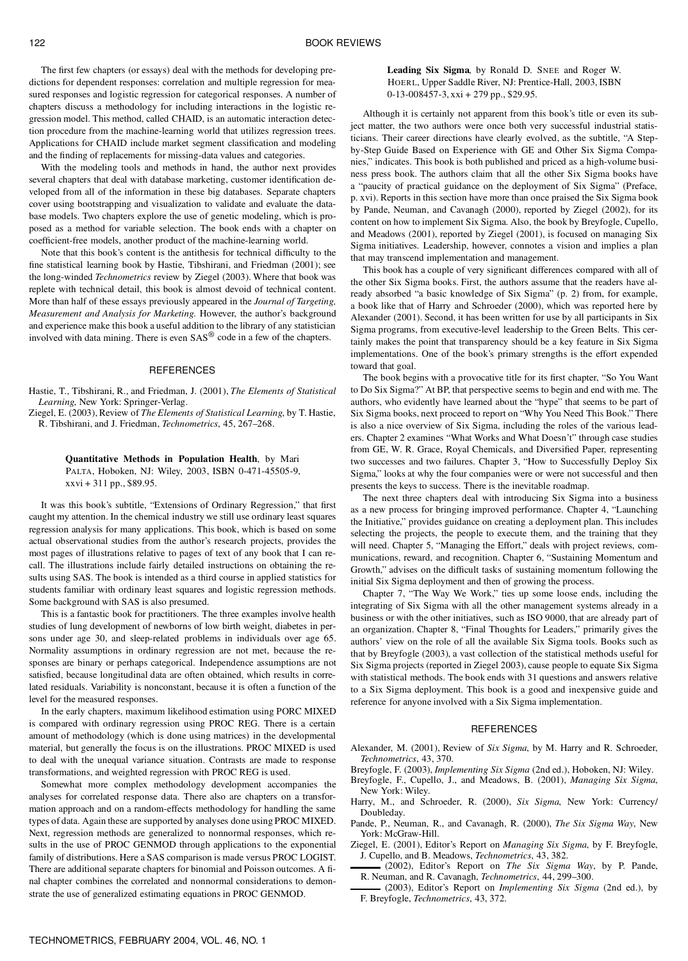The first few chapters (or essays) deal with the methods for developing predictions for dependent responses: correlation and multiple regression for measured responses and logistic regression for categorical responses. A number of chapters discuss a methodology for including interactions in the logistic re gression model. This method, called CHAID, is an automatic interaction detection procedure from the machine-learning world that utilizes regression trees. Applications for CHAID include market segment classification and modeling and the finding of replacements for missing-data values and categories.

With the modeling tools and methods in hand, the author next provides several chapters that deal with database marketing, customer identification developed from all of the information in these big databases. Separate chapters cover using bootstrapping and visualization to validate and evaluate the database models. Two chapters explore the use of genetic modeling, which is proposed as a method for variable selection. The book ends with a chapter on coefficient-free models, another product of the machine-learning world.

Note that this book's content is the antithesis for technical difficulty to the fine statistical learning book by Hastie, Tibshirani, and Friedman (2001); see the long-winded *Technometrics* review by Ziegel (2003). Where that book was replete with technical detail, this book is almost devoid of technical content. More than half of these essays previously appeared in the *Journal of Targeting, Measurement and Analysis for Marketing*. However, the author's background and experience make this book a useful addition to the library of any statistician involved with data mining. There is even SAS® code in a few of the chapters.

#### **REFERENCES**

Hastie, T., Tibshirani, R., and Friedman, J. (2001), *The Elements of Statistical Learning*, New York: Springer-Verlag.

Ziegel, E. (2003), Review of *The Elements of Statistical Learning*, by T. Hastie, R. Tibshirani, and J. Friedman, *Technometrics*, 45, 267–268.

#### **Quantitative Methods in Population Health**, by Mari PALTA, Hoboken, NJ: Wiley, 2003, ISBN 0-471-45505-9, xxvi + 311 pp., \$89.95.

It was this book's subtitle, "Extensions of Ordinary Regression," that first caught my attention. In the chemical industry we still use ordinary least squares regression analysis for many applications. This book, which is based on some actual observational studies from the author's research projects, provides the most pages of illustrations relative to pages of text of any book that I can re call. The illustrations include fairly detailed instructions on obtaining the results using SAS. The book is intended as a third course in applied statistics for students familiar with ordinary least squares and logistic regression methods. Some background with SAS is also presumed.

This is a fantastic book for practitioners. The three examples involve health studies of lung development of newborns of low birth weight, diabetes in persons under age 30, and sleep-related problems in individuals over age 65. Normality assumptions in ordinary regression are not met, because the responses are binary or perhaps categorical. Independence assumptions are not satisfied, because longitudinal data are often obtained, which results in correlated residuals. Variability is nonconstant, because it is often a function of the level for the measured responses.

In the early chapters, maximum likelihood estimation using PORC MIXED is compared with ordinary regression using PROC REG. There is a certain amount of methodology (which is done using matrices) in the developmental material, but generally the focus is on the illustrations. PROC MIXED is used to deal with the unequal variance situation. Contrasts are made to response transformations, and weighted regression with PROC REG is used.

Somewhat more complex methodology development accompanies the analyses for correlated response data. There also are chapters on a transformation approach and on a random-effects methodology for handling the same types of data. Again these are supported by analyses done using PROC MIXED. Next, regression methods are generalized to nonnormal responses, which results in the use of PROC GENMOD through applications to the exponential family of distributions. Here a SAS comparison is made versus PROC LOGIST. There are additional separate chapters for binomial and Poisson outcomes. A final chapter combines the correlated and nonnormal considerations to demonstrate the use of generalized estimating equations in PROC GENMOD.

**Leading Six Sigma**, by Ronald D. SNEE and Roger W. HOERL, Upper Saddle River, NJ: Prentice-Hall, 2003, ISBN 0-13-008457-3, xxi + 279 pp., \$29.95.

Although it is certainly not apparent from this book's title or even its subject matter, the two authors were once both very successful industrial statisticians. Their career directions have clearly evolved, as the subtitle, "A Stepby-Step Guide Based on Experience with GE and Other Six Sigma Companies," indicates. This book is both published and priced as a high-volume busi ness press book. The authors claim that all the other Six Sigma books have a "paucity of practical guidance on the deployment of Six Sigma" (Preface, p. xvi). Reports in this section have more than once praised the Six Sigma book by Pande, Neuman, and Cavanagh (2000), reported by Ziegel (2002), for its content on how to implement Six Sigma. Also, the book by Breyfogle, Cupello, and Meadows (2001), reported by Ziegel (2001), is focused on managing Six Sigma initiatives. Leadership, however, connotes a vision and implies a plan that may transcend implementation and management.

This book has a couple of very significant differences compared with all of the other Six Sigma books. First, the authors assume that the readers have already absorbed "a basic knowledge of Six Sigma" (p. 2) from, for example, a book like that of Harry and Schroeder (2000), which was reported here by Alexander (2001). Second, it has been written for use by all participants in Six Sigma programs, from executive-level leadership to the Green Belts. This certainly makes the point that transparency should be a key feature in Six Sigma implementations. One of the book's primary strengths is the effort expended toward that goal.

The book begins with a provocative title for its first chapter, "So You Want to Do Six Sigma?" At BP, that perspective seems to begin and end with me. The authors, who evidently have learned about the "hype" that seems to be part of Six Sigma books, next proceed to report on "Why You Need This Book." There is also a nice overview of Six Sigma, including the roles of the various leaders. Chapter 2 examines "What Works and What Doesn't" through case studies from GE, W. R. Grace, Royal Chemicals, and Diversified Paper, representing two successes and two failures. Chapter 3, "How to Successfully Deploy Six Sigma," looks at why the four companies were or were not successful and then presents the keys to success. There is the inevitable roadmap.

The next three chapters deal with introducing Six Sigma into a business as a new process for bringing improved performance. Chapter 4, "Launching the Initiative," provides guidance on creating a deployment plan. This includes selecting the projects, the people to execute them, and the training that they will need. Chapter 5, "Managing the Effort," deals with project reviews, com munications, reward, and recognition. Chapter 6, "Sustaining Momentum and Growth," advises on the difficult tasks of sustaining momentum following the initial Six Sigma deployment and then of growing the process.

Chapter 7, "The Way We Work," ties up some loose ends, including the integrating of Six Sigma with all the other management systems already in a business or with the other initiatives, such as ISO 9000, that are already part of an organization. Chapter 8, "Final Thoughts for Leaders," primarily gives the authors' view on the role of all the available Six Sigma tools. Books such as that by Breyfogle (2003), a vast collection of the statistical methods useful for Six Sigma projects (reported in Ziegel 2003), cause people to equate Six Sigma with statistical methods. The book ends with 31 questions and answers relative to a Six Sigma deployment. This book is a good and inexpensive guide and reference for anyone involved with a Six Sigma implementation.

#### REFERENCES

- Alexander, M. (2001), Review of*Six Sigma*, by M. Harry and R. Schroeder, *Technometrics*, 43, 370.
- Breyfogle, F. (2003), *Implementing Six Sigma* (2nd ed.), Hoboken, NJ: Wiley.
- Breyfogle, F., Cupello, J., and Meadows, B. (2001), *Managing Six Sigma*, New York: Wiley.
- Harry, M., and Schroeder, R. (2000), *Six Sigma*, New York: Currency/ Doubleday.
- Pande, P., Neuman, R., and Cavanagh, R. (2000), *The Six Sigma Way*, New York: McGraw-Hill.
- Ziegel, E. (2001), Editor's Report on *Managing Six Sigma*, by F. Breyfogle, J. Cupello, and B. Meadows, *Technometrics*, 43, 382.
- (2002), Editor's Report on *The Six Sigma Way*, by P. Pande, R. Neuman, and R. Cavanagh, *Technometrics*, 44, 299–300.
- (2003), Editor's Report on *Implementing Six Sigma* (2nd ed.), by F. Breyfogle, *Technometrics*, 43, 372.